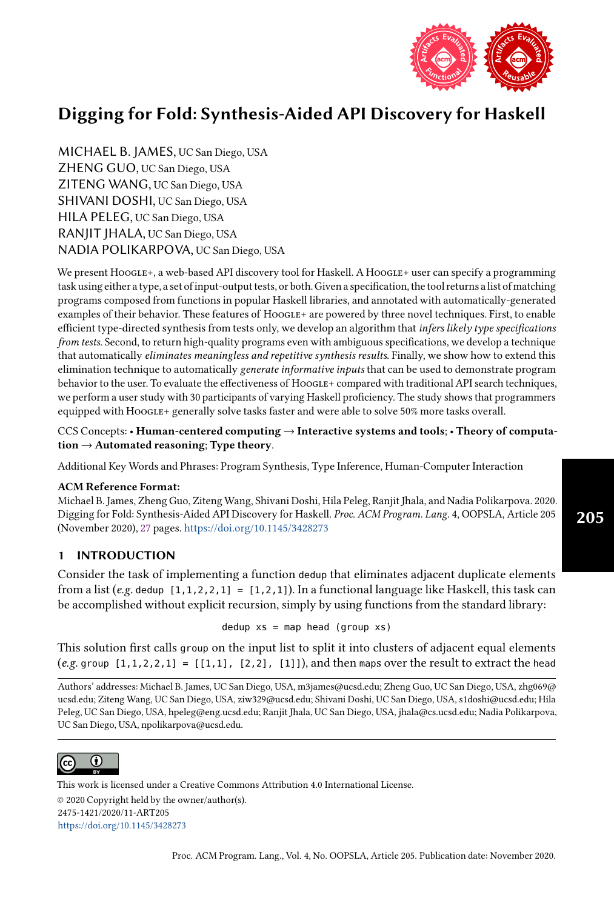

MICHAEL B. JAMES, UC San Diego, USA ZHENG GUO, UC San Diego, USA ZITENG WANG, UC San Diego, USA SHIVANI DOSHI, UC San Diego, USA HILA PELEG, UC San Diego, USA RANJIT JHALA, UC San Diego, USA NADIA POLIKARPOVA, UC San Diego, USA

We present Hoogle+, a web-based API discovery tool for Haskell. A Hoogle+ user can specify a programming task using either a type, a set of input-output tests, or both. Given a specification, the tool returns a list of matching programs composed from functions in popular Haskell libraries, and annotated with automatically-generated examples of their behavior. These features of Hoogle+ are powered by three novel techniques. First, to enable efficient type-directed synthesis from tests only, we develop an algorithm that infers likely type specifications from tests. Second, to return high-quality programs even with ambiguous specifications, we develop a technique that automatically eliminates meaningless and repetitive synthesis results. Finally, we show how to extend this elimination technique to automatically generate informative inputs that can be used to demonstrate program behavior to the user. To evaluate the effectiveness of HOOGLE+ compared with traditional API search techniques, we perform a user study with 30 participants of varying Haskell proficiency. The study shows that programmers equipped with HoogLE+ generally solve tasks faster and were able to solve 50% more tasks overall.

CCS Concepts: • Human-centered computing → Interactive systems and tools; • Theory of computation  $\rightarrow$  Automated reasoning; Type theory.

Additional Key Words and Phrases: Program Synthesis, Type Inference, Human-Computer Interaction

### ACM Reference Format:

Michael B. James, Zheng Guo, Ziteng Wang, Shivani Doshi, Hila Peleg, Ranjit Jhala, and Nadia Polikarpova. 2020. Digging for Fold: Synthesis-Aided API Discovery for Haskell. Proc. ACM Program. Lang. 4, OOPSLA, Article 205 (November 2020), [27](#page-26-0) pages. <https://doi.org/10.1145/3428273>

# 1 INTRODUCTION

Consider the task of implementing a function dedup that eliminates adjacent duplicate elements from a list (e.g. dedup  $[1,1,2,2,1] = [1,2,1]$ ). In a functional language like Haskell, this task can be accomplished without explicit recursion, simply by using functions from the standard library:

dedup  $xs = map$  head (group  $xs$ )

This solution first calls group on the input list to split it into clusters of adjacent equal elements  $(e.g.$  group  $[1,1,2,2,1] = [[1,1], [2,2], [1]])$ , and then maps over the result to extract the head

Authors' addresses: Michael B. James, UC San Diego, USA, m3james@ucsd.edu; Zheng Guo, UC San Diego, USA, zhg069@ ucsd.edu; Ziteng Wang, UC San Diego, USA, ziw329@ucsd.edu; Shivani Doshi, UC San Diego, USA, s1doshi@ucsd.edu; Hila Peleg, UC San Diego, USA, hpeleg@eng.ucsd.edu; Ranjit Jhala, UC San Diego, USA, jhala@cs.ucsd.edu; Nadia Polikarpova, UC San Diego, USA, npolikarpova@ucsd.edu.



This work is licensed under a Creative Commons Attribution 4.0 International License.

© 2020 Copyright held by the owner/author(s). 2475-1421/2020/11-ART205 <https://doi.org/10.1145/3428273>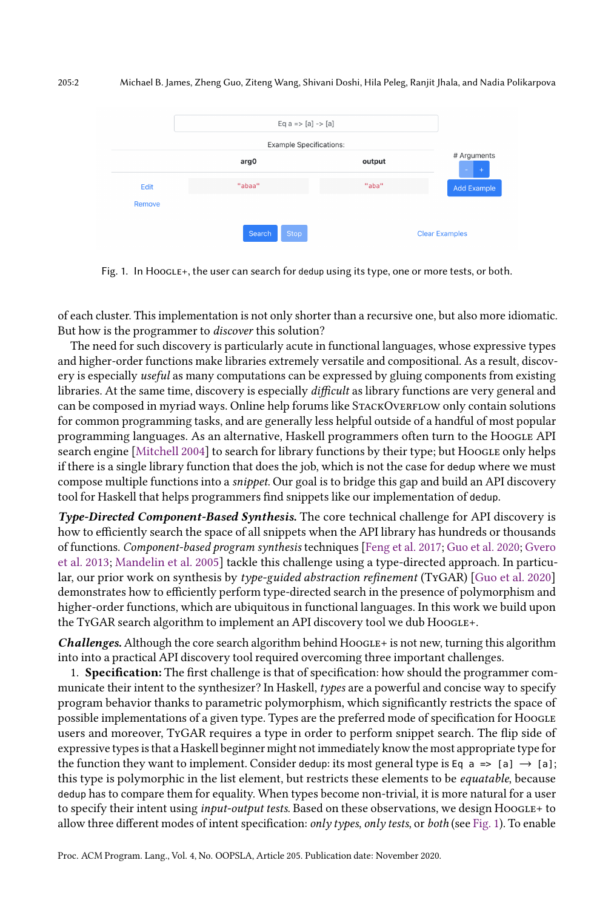<span id="page-1-0"></span>

Fig. 1. In Hoogle+, the user can search for dedup using its type, one or more tests, or both.

of each cluster. This implementation is not only shorter than a recursive one, but also more idiomatic. But how is the programmer to discover this solution?

The need for such discovery is particularly acute in functional languages, whose expressive types and higher-order functions make libraries extremely versatile and compositional. As a result, discovery is especially *useful* as many computations can be expressed by gluing components from existing libraries. At the same time, discovery is especially difficult as library functions are very general and can be composed in myriad ways. Online help forums like STACKOVERFLOW only contain solutions for common programming tasks, and are generally less helpful outside of a handful of most popular programming languages. As an alternative, Haskell programmers often turn to the Hoogle API search engine [\[Mitchell 2004\]](#page-26-1) to search for library functions by their type; but Hoogle only helps if there is a single library function that does the job, which is not the case for dedup where we must compose multiple functions into a snippet. Our goal is to bridge this gap and build an API discovery tool for Haskell that helps programmers find snippets like our implementation of dedup.

Type-Directed Component-Based Synthesis. The core technical challenge for API discovery is how to efficiently search the space of all snippets when the API library has hundreds or thousands of functions. Component-based program synthesis techniques [\[Feng et al.](#page-26-2) [2017;](#page-26-2) [Guo et al.](#page-26-3) [2020;](#page-26-3) [Gvero](#page-26-4) [et al.](#page-26-4) [2013;](#page-26-4) [Mandelin et al.](#page-26-5) [2005\]](#page-26-5) tackle this challenge using a type-directed approach. In particular, our prior work on synthesis by type-guided abstraction refinement (TyGAR) [\[Guo et al.](#page-26-3) [2020\]](#page-26-3) demonstrates how to efficiently perform type-directed search in the presence of polymorphism and higher-order functions, which are ubiquitous in functional languages. In this work we build upon the TyGAR search algorithm to implement an API discovery tool we dub HooGLE+.

**Challenges.** Although the core search algorithm behind  $HooGLE +$  is not new, turning this algorithm into into a practical API discovery tool required overcoming three important challenges.

1. **Specification:** The first challenge is that of specification: how should the programmer communicate their intent to the synthesizer? In Haskell, types are a powerful and concise way to specify program behavior thanks to parametric polymorphism, which significantly restricts the space of possible implementations of a given type. Types are the preferred mode of specification for Hoogle users and moreover, TyGAR requires a type in order to perform snippet search. The flip side of expressive types is that a Haskell beginner might not immediately know the most appropriate type for the function they want to implement. Consider dedup: its most general type is Eq  $a \Rightarrow [a] \rightarrow [a]$ ; this type is polymorphic in the list element, but restricts these elements to be *equatable*, because dedup has to compare them for equality. When types become non-trivial, it is more natural for a user to specify their intent using *input-output tests*. Based on these observations, we design HoogLE+ to allow three different modes of intent specification: only types, only tests, or both (see [Fig. 1\)](#page-1-0). To enable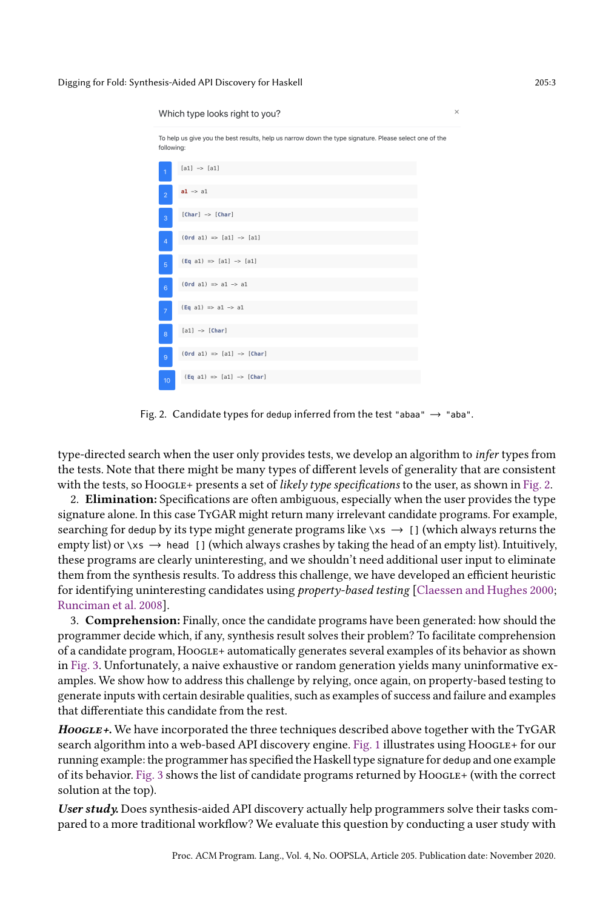<span id="page-2-0"></span>

Fig. 2. Candidate types for dedup inferred from the test "abaa"  $\rightarrow$  "aba".

type-directed search when the user only provides tests, we develop an algorithm to *infer* types from the tests. Note that there might be many types of different levels of generality that are consistent with the tests, so HOOGLE+ presents a set of likely type specifications to the user, as shown in [Fig. 2.](#page-2-0)

2. Elimination: Specifications are often ambiguous, especially when the user provides the type signature alone. In this case TyGAR might return many irrelevant candidate programs. For example, searching for dedup by its type might generate programs like  $\xrightarrow{}$  [] (which always returns the empty list) or  $\chi$ s  $\rightarrow$  head [] (which always crashes by taking the head of an empty list). Intuitively, these programs are clearly uninteresting, and we shouldn't need additional user input to eliminate them from the synthesis results. To address this challenge, we have developed an efficient heuristic for identifying uninteresting candidates using property-based testing [\[Claessen and Hughes 2000;](#page-26-6) [Runciman et al. 2008\]](#page-26-7).

3. Comprehension: Finally, once the candidate programs have been generated: how should the programmer decide which, if any, synthesis result solves their problem? To facilitate comprehension of a candidate program, Hoogle+ automatically generates several examples of its behavior as shown in [Fig. 3.](#page-3-0) Unfortunately, a naive exhaustive or random generation yields many uninformative examples. We show how to address this challenge by relying, once again, on property-based testing to generate inputs with certain desirable qualities, such as examples of success and failure and examples that differentiate this candidate from the rest.

 $HooGLE+$ . We have incorporated the three techniques described above together with the TyGAR search algorithm into a web-based API discovery engine. [Fig. 1](#page-1-0) illustrates using Hoogle+ for our running example: the programmer has specified the Haskell type signature for dedup and one example of its behavior. [Fig. 3](#page-3-0) shows the list of candidate programs returned by Hoogle+ (with the correct solution at the top).

User study. Does synthesis-aided API discovery actually help programmers solve their tasks compared to a more traditional workflow? We evaluate this question by conducting a user study with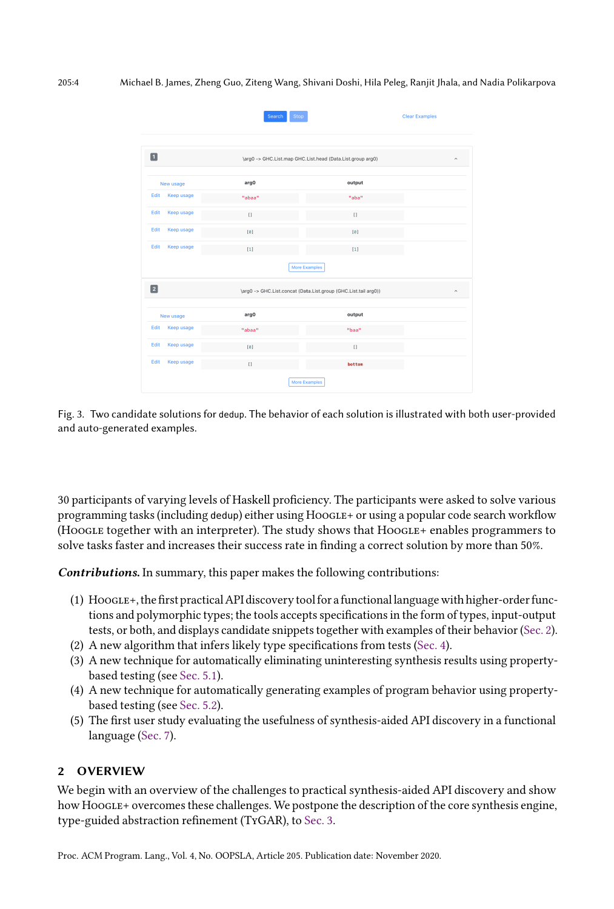<span id="page-3-0"></span>

|                                                                                                         | Stop<br>Search   | <b>Clear Examples</b> |  |  |
|---------------------------------------------------------------------------------------------------------|------------------|-----------------------|--|--|
| $\blacksquare$<br>\arg0 -> GHC.List.map GHC.List.head (Data.List.group arg0)<br>$\widehat{\phantom{a}}$ |                  |                       |  |  |
| New usage                                                                                               | arg0             | output                |  |  |
| Edit<br>Keep usage                                                                                      | "abaa"           | "aba"                 |  |  |
| Edit<br>Keep usage                                                                                      | $\left[ \right]$ | $\Box$                |  |  |
| Edit<br>Keep usage                                                                                      | [0]              | [0]                   |  |  |
| Edit<br>Keep usage                                                                                      | $[1]$            | $[1]$                 |  |  |
|                                                                                                         |                  | More Examples         |  |  |
| $\boxed{2}$<br>\arg0 -> GHC.List.concat (Data.List.group (GHC.List.tail arg0))<br>$\hat{\phantom{a}}$   |                  |                       |  |  |
| New usage                                                                                               | arg0             | output                |  |  |
| Edit<br><b>Keep usage</b>                                                                               | "abaa"           | "baa"                 |  |  |
| Edit<br>Keep usage                                                                                      | [0]              | $[ \ ]$               |  |  |
| Edit<br>Keep usage                                                                                      | $[ ]$            | bottom                |  |  |
| More Examples                                                                                           |                  |                       |  |  |

Fig. 3. Two candidate solutions for dedup. The behavior of each solution is illustrated with both user-provided and auto-generated examples.

30 participants of varying levels of Haskell proficiency. The participants were asked to solve various programming tasks (including dedup) either using Hoogle+ or using a popular code search workflow (Hoogle together with an interpreter). The study shows that Hoogle+ enables programmers to solve tasks faster and increases their success rate in finding a correct solution by more than 50%.

Contributions. In summary, this paper makes the following contributions:

- (1) Hoogle+, the first practical API discovery tool for a functional language with higher-order functions and polymorphic types; the tools accepts specifications in the form of types, input-output tests, or both, and displays candidate snippets together with examples of their behavior [\(Sec. 2\)](#page-3-1).
- (2) A new algorithm that infers likely type specifications from tests [\(Sec. 4\)](#page-6-0).
- (3) A new technique for automatically eliminating uninteresting synthesis results using propertybased testing (see [Sec. 5.1\)](#page-13-0).
- (4) A new technique for automatically generating examples of program behavior using propertybased testing (see [Sec. 5.2\)](#page-14-0).
- (5) The first user study evaluating the usefulness of synthesis-aided API discovery in a functional language [\(Sec. 7\)](#page-17-0).

# <span id="page-3-1"></span>2 OVERVIEW

We begin with an overview of the challenges to practical synthesis-aided API discovery and show how Hoogle+ overcomes these challenges. We postpone the description of the core synthesis engine, type-guided abstraction refinement (TyGAR), to [Sec. 3.](#page-6-1)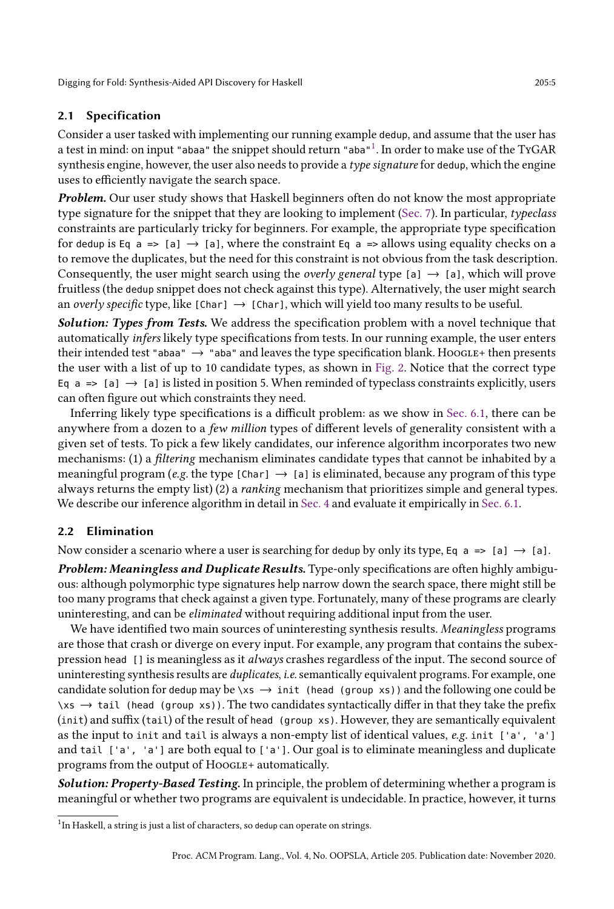### 2.1 Specification

Consider a user tasked with implementing our running example dedup, and assume that the user has a test in mind: on input "abaa" the snippet should return "aba" $^1.$  $^1.$  $^1.$  In order to make use of the TyGAR synthesis engine, however, the user also needs to provide a type signature for dedup, which the engine uses to efficiently navigate the search space.

Problem. Our user study shows that Haskell beginners often do not know the most appropriate type signature for the snippet that they are looking to implement [\(Sec. 7\)](#page-17-0). In particular, typeclass constraints are particularly tricky for beginners. For example, the appropriate type specification for dedup is Eq a => [a]  $\rightarrow$  [a], where the constraint Eq a => allows using equality checks on a to remove the duplicates, but the need for this constraint is not obvious from the task description. Consequently, the user might search using the *overly general* type [a]  $\rightarrow$  [a], which will prove fruitless (the dedup snippet does not check against this type). Alternatively, the user might search an overly specific type, like  $[Char] \rightarrow [Char]$ , which will yield too many results to be useful.

Solution: Types from Tests. We address the specification problem with a novel technique that automatically infers likely type specifications from tests. In our running example, the user enters their intended test "abaa"  $\rightarrow$  "aba" and leaves the type specification blank. Hoogle+ then presents the user with a list of up to 10 candidate types, as shown in [Fig. 2.](#page-2-0) Notice that the correct type Eq  $a \Rightarrow [a] \rightarrow [a]$  is listed in position 5. When reminded of typeclass constraints explicitly, users can often figure out which constraints they need.

Inferring likely type specifications is a difficult problem: as we show in [Sec. 6.1,](#page-15-0) there can be anywhere from a dozen to a few million types of different levels of generality consistent with a given set of tests. To pick a few likely candidates, our inference algorithm incorporates two new mechanisms: (1) a filtering mechanism eliminates candidate types that cannot be inhabited by a meaningful program (e.g. the type [Char]  $\rightarrow$  [a] is eliminated, because any program of this type always returns the empty list) (2) a ranking mechanism that prioritizes simple and general types. We describe our inference algorithm in detail in [Sec. 4](#page-6-0) and evaluate it empirically in [Sec. 6.1.](#page-15-0)

### 2.2 Elimination

Now consider a scenario where a user is searching for dedup by only its type, Eq  $a \Rightarrow [a] \rightarrow [a]$ .

**Problem: Meaningless and Duplicate Results.** Type-only specifications are often highly ambiguous: although polymorphic type signatures help narrow down the search space, there might still be too many programs that check against a given type. Fortunately, many of these programs are clearly uninteresting, and can be eliminated without requiring additional input from the user.

We have identified two main sources of uninteresting synthesis results. Meaningless programs are those that crash or diverge on every input. For example, any program that contains the subexpression head [] is meaningless as it always crashes regardless of the input. The second source of uninteresting synthesis results are *duplicates, i.e.* semantically equivalent programs. For example, one candidate solution for dedup may be  $\langle x \rangle$   $\rightarrow$  init (head (group xs)) and the following one could be  $\forall x s \rightarrow \text{tail}$  (head (group xs)). The two candidates syntactically differ in that they take the prefix (init) and suffix (tail) of the result of head (group xs). However, they are semantically equivalent as the input to init and tail is always a non-empty list of identical values, e.g. init ['a', 'a'] and tail ['a', 'a'] are both equal to ['a']. Our goal is to eliminate meaningless and duplicate programs from the output of Hoogle+ automatically.

Solution: Property-Based Testing. In principle, the problem of determining whether a program is meaningful or whether two programs are equivalent is undecidable. In practice, however, it turns

<span id="page-4-0"></span><sup>&</sup>lt;sup>1</sup>In Haskell, a string is just a list of characters, so dedup can operate on strings.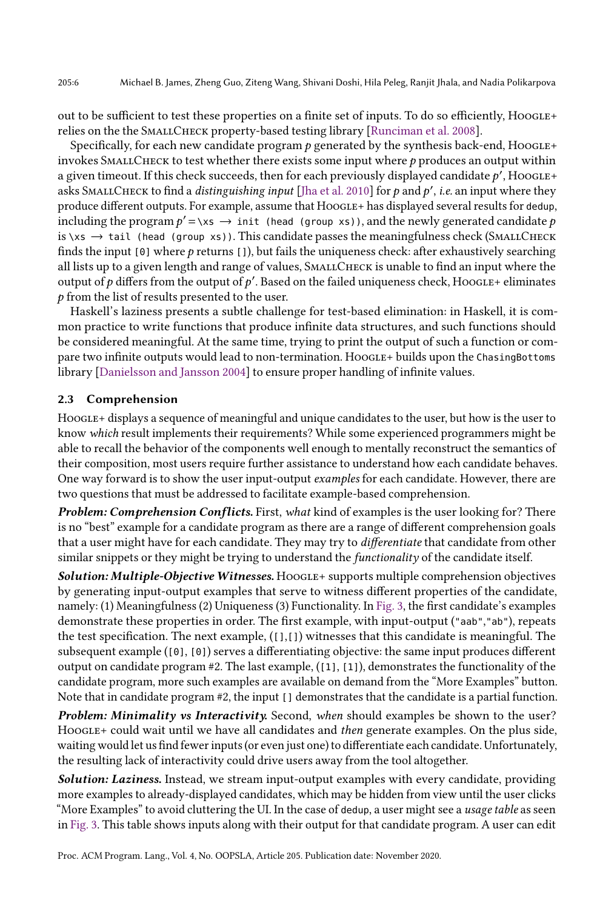out to be sufficient to test these properties on a finite set of inputs. To do so efficiently, Hoogle+ relies on the the SMALLCHECK property-based testing library [\[Runciman et al. 2008\]](#page-26-7).

Specifically, for each new candidate program  $p$  generated by the synthesis back-end, Hoogle+ invokes SMALLCHECK to test whether there exists some input where  $p$  produces an output within a given timeout. If this check succeeds, then for each previously displayed candidate  $p'$  , H00GLE+ asks SMALLCHECK to find a *distinguishing input* [\[Jha et al.](#page-26-8) [2010\]](#page-26-8) for  $p$  and  $p'$ , *i.e.* an input where they produce different outputs. For example, assume that HoogLE+ has displayed several results for dedup, including the program  $p' = \x \mapsto \text{init}$  (head (group xs)), and the newly generated candidate  $p$ is  $\langle x \rangle$  tail (head (group xs)). This candidate passes the meaningfulness check (SMALLCHECK finds the input  $[0]$  where  $p$  returns  $[1]$ , but fails the uniqueness check: after exhaustively searching all lists up to a given length and range of values, SMALLCHECK is unable to find an input where the output of p differs from the output of p'. Based on the failed uniqueness check, HooGLE+ eliminates  $p$  from the list of results presented to the user.

Haskell's laziness presents a subtle challenge for test-based elimination: in Haskell, it is common practice to write functions that produce infinite data structures, and such functions should be considered meaningful. At the same time, trying to print the output of such a function or compare two infinite outputs would lead to non-termination. Hoogle+ builds upon the ChasingBottoms library [\[Danielsson and Jansson 2004\]](#page-26-9) to ensure proper handling of infinite values.

# 2.3 Comprehension

HoogLE+ displays a sequence of meaningful and unique candidates to the user, but how is the user to know which result implements their requirements? While some experienced programmers might be able to recall the behavior of the components well enough to mentally reconstruct the semantics of their composition, most users require further assistance to understand how each candidate behaves. One way forward is to show the user input-output examples for each candidate. However, there are two questions that must be addressed to facilitate example-based comprehension.

Problem: Comprehension Conflicts. First, what kind of examples is the user looking for? There is no "best" example for a candidate program as there are a range of different comprehension goals that a user might have for each candidate. They may try to *differentiate* that candidate from other similar snippets or they might be trying to understand the functionality of the candidate itself.

Solution: Multiple-Objective Witnesses. HOOGLE+ supports multiple comprehension objectives by generating input-output examples that serve to witness different properties of the candidate, namely: (1) Meaningfulness (2) Uniqueness (3) Functionality. In [Fig. 3,](#page-3-0) the first candidate's examples demonstrate these properties in order. The first example, with input-output ("aab","ab"), repeats the test specification. The next example,  $([1,1])$  witnesses that this candidate is meaningful. The subsequent example ([0], [0]) serves a differentiating objective: the same input produces different output on candidate program  $#2$ . The last example,  $(1, 1, 1)$ , demonstrates the functionality of the candidate program, more such examples are available on demand from the "More Examples" button. Note that in candidate program #2, the input [] demonstrates that the candidate is a partial function.

Problem: Minimality vs Interactivity. Second, when should examples be shown to the user? HoogLE+ could wait until we have all candidates and then generate examples. On the plus side, waiting would let us find fewer inputs (or even just one) to differentiate each candidate. Unfortunately, the resulting lack of interactivity could drive users away from the tool altogether.

Solution: Laziness. Instead, we stream input-output examples with every candidate, providing more examples to already-displayed candidates, which may be hidden from view until the user clicks "More Examples" to avoid cluttering the UI. In the case of dedup, a user might see a usage table as seen in [Fig. 3.](#page-3-0) This table shows inputs along with their output for that candidate program. A user can edit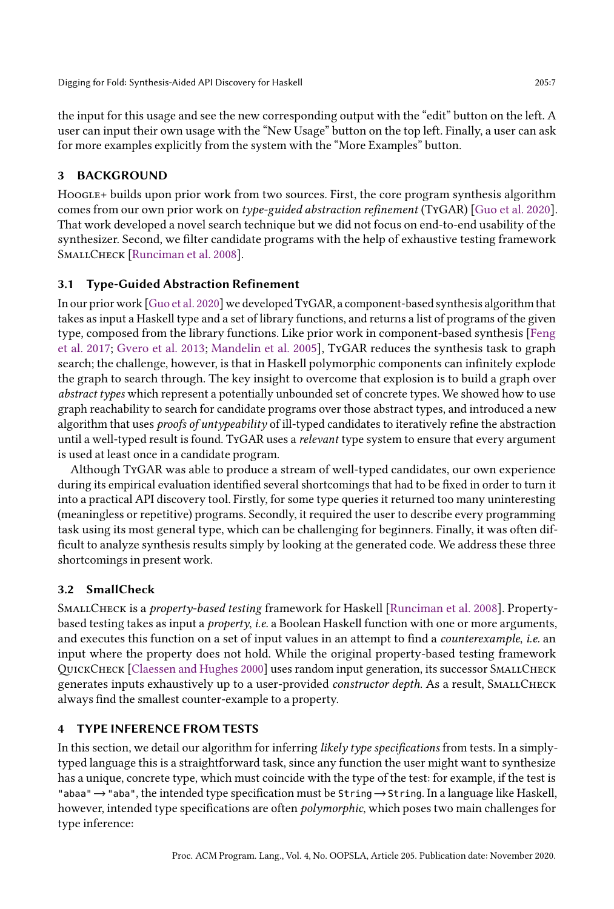the input for this usage and see the new corresponding output with the "edit" button on the left. A user can input their own usage with the "New Usage" button on the top left. Finally, a user can ask for more examples explicitly from the system with the "More Examples" button.

# <span id="page-6-1"></span>3 BACKGROUND

Hoogle+ builds upon prior work from two sources. First, the core program synthesis algorithm comes from our own prior work on type-guided abstraction refinement (TyGAR) [\[Guo et al.](#page-26-3) [2020\]](#page-26-3). That work developed a novel search technique but we did not focus on end-to-end usability of the synthesizer. Second, we filter candidate programs with the help of exhaustive testing framework SMALLCHECK [\[Runciman et al. 2008\]](#page-26-7).

# 3.1 Type-Guided Abstraction Refinement

In our prior work [\[Guo et al.](#page-26-3) [2020\]](#page-26-3) we developed TyGAR, a component-based synthesis algorithm that takes as input a Haskell type and a set of library functions, and returns a list of programs of the given type, composed from the library functions. Like prior work in component-based synthesis [\[Feng](#page-26-2) [et al.](#page-26-2) [2017;](#page-26-2) [Gvero et al.](#page-26-4) [2013;](#page-26-4) [Mandelin et al.](#page-26-5) [2005\]](#page-26-5), TyGAR reduces the synthesis task to graph search; the challenge, however, is that in Haskell polymorphic components can infinitely explode the graph to search through. The key insight to overcome that explosion is to build a graph over abstract types which represent a potentially unbounded set of concrete types. We showed how to use graph reachability to search for candidate programs over those abstract types, and introduced a new algorithm that uses proofs of untypeability of ill-typed candidates to iteratively refine the abstraction until a well-typed result is found. TyGAR uses a relevant type system to ensure that every argument is used at least once in a candidate program.

Although TyGAR was able to produce a stream of well-typed candidates, our own experience during its empirical evaluation identified several shortcomings that had to be fixed in order to turn it into a practical API discovery tool. Firstly, for some type queries it returned too many uninteresting (meaningless or repetitive) programs. Secondly, it required the user to describe every programming task using its most general type, which can be challenging for beginners. Finally, it was often difficult to analyze synthesis results simply by looking at the generated code. We address these three shortcomings in present work.

# 3.2 SmallCheck

SMALLCHECK is a *property-based testing* framework for Haskell [\[Runciman et al.](#page-26-7) [2008\]](#page-26-7). Propertybased testing takes as input a property, i.e. a Boolean Haskell function with one or more arguments, and executes this function on a set of input values in an attempt to find a counterexample, i.e. an input where the property does not hold. While the original property-based testing framework QuickCheck [\[Claessen and Hughes 2000\]](#page-26-6) uses random input generation, its successor SmallCheck generates inputs exhaustively up to a user-provided *constructor depth*. As a result, SMALLCHECK always find the smallest counter-example to a property.

# <span id="page-6-0"></span>4 TYPE INFERENCE FROM TESTS

In this section, we detail our algorithm for inferring likely type specifications from tests. In a simplytyped language this is a straightforward task, since any function the user might want to synthesize has a unique, concrete type, which must coincide with the type of the test: for example, if the test is "abaa"→"aba", the intended type specification must be String→String. In a language like Haskell, however, intended type specifications are often *polymorphic*, which poses two main challenges for type inference: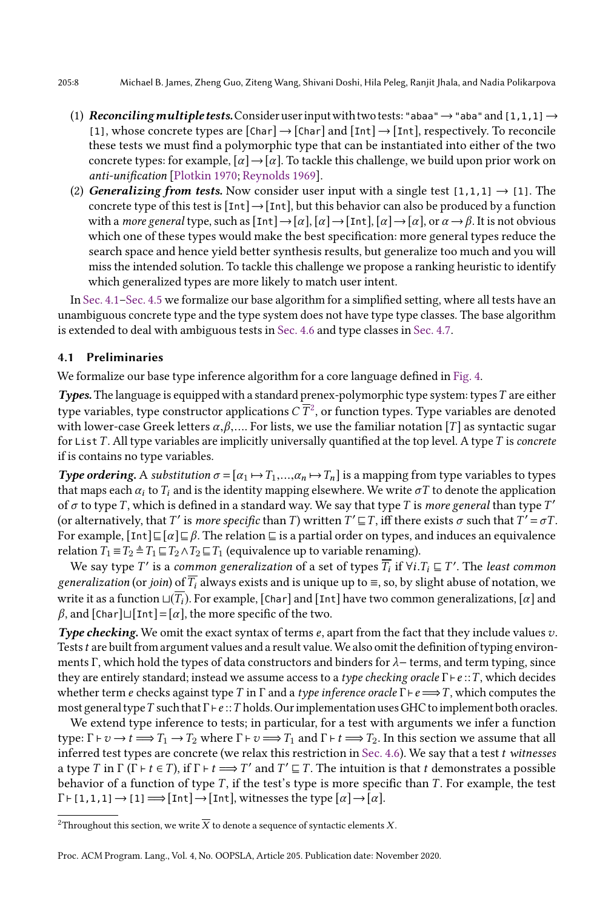- (1) Reconciling multiple tests. Consider user input with two tests: "abaa"  $\rightarrow$  "aba" and [1,1,1]  $\rightarrow$ [1], whose concrete types are  $[Char] \rightarrow [Char]$  and  $[Int] \rightarrow [Int]$ , respectively. To reconcile these tests we must find a polymorphic type that can be instantiated into either of the two concrete types: for example,  $\lbrack \alpha \rbrack \rightarrow \lbrack \alpha \rbrack$ . To tackle this challenge, we build upon prior work on anti-unification [\[Plotkin 1970;](#page-26-10) [Reynolds 1969\]](#page-26-11).
- (2) Generalizing from tests. Now consider user input with a single test  $[1,1,1] \rightarrow [1]$ . The concrete type of this test is  $[Int] \rightarrow [Int]$ , but this behavior can also be produced by a function with a *more general* type, such as  $[\text{Int}] \rightarrow [\alpha], [\alpha] \rightarrow [\text{Int}], [\alpha] \rightarrow [\alpha]$ , or  $\alpha \rightarrow \beta$ . It is not obvious which one of these types would make the best specification: more general types reduce the search space and hence yield better synthesis results, but generalize too much and you will miss the intended solution. To tackle this challenge we propose a ranking heuristic to identify which generalized types are more likely to match user intent.

In [Sec. 4.1](#page-7-0)-Sec. 4.5 we formalize our base algorithm for a simplified setting, where all tests have an unambiguous concrete type and the type system does not have type type classes. The base algorithm is extended to deal with ambiguous tests in [Sec. 4.6](#page-11-0) and type classes in [Sec. 4.7.](#page-12-0)

### <span id="page-7-0"></span>4.1 Preliminaries

We formalize our base type inference algorithm for a core language defined in [Fig. 4.](#page-8-0)

Types. The language is equipped with a standard prenex-polymorphic type system: types  $T$  are either type variables, type constructor applications  $C\, \overline{T}{}^2,$  $C\, \overline{T}{}^2,$  $C\, \overline{T}{}^2,$  or function types. Type variables are denoted with lower-case Greek letters  $\alpha, \beta, \dots$  For lists, we use the familiar notation [T] as syntactic sugar for List  $T$ . All type variables are implicitly universally quantified at the top level. A type  $T$  is *concrete* if is contains no type variables.

**Type ordering.** A substitution  $\sigma = [\alpha_1 \mapsto T_1, ..., \alpha_n \mapsto T_n]$  is a mapping from type variables to types that maps each  $\alpha_i$  to  $T_i$  and is the identity mapping elsewhere. We write  $\sigma T$  to denote the application of  $\sigma$  to type T, which is defined in a standard way. We say that type T is more general than type T' (or alternatively, that T' is *more specific* than T) written  $T' \sqsubseteq T$ , iff there exists  $\sigma$  such that  $T' = \sigma T$ . For example,  $[\text{Int}] \sqsubseteq [\alpha] \sqsubseteq \beta$ . The relation  $\sqsubseteq$  is a partial order on types, and induces an equivalence relation  $T_1 \equiv T_2 \stackrel{\Delta}{=} T_1 \sqsubseteq T_2 \land T_2 \sqsubseteq T_1$  (equivalence up to variable renaming).

We say type  $T'$  is a *common generalization* of a set of types  $\overline{T_i}$  if  $\forall i. T_i\sqsubseteq T'.$  The *least common* generalization (or join) of  $\overline{T_i}$  always exists and is unique up to  $\equiv$ , so, by slight abuse of notation, we write it as a function  $□(\overline{T_i})$ . For example, [Char] and [Int] have two common generalizations, [α] and  $\beta$ , and [Char] $\Box$ [Int] = [α], the more specific of the two.

**Type checking.** We omit the exact syntax of terms e, apart from the fact that they include values  $v$ . Tests t are built from argument values and a result value. We also omit the definition of typing environments Γ, which hold the types of data constructors and binders for  $\lambda$  – terms, and term typing, since they are entirely standard; instead we assume access to a *type checking oracle*  $\Gamma \vdash e :: T$ , which decides whether term e checks against type T in Γ and a type inference oracle  $\Gamma \vdash e \Longrightarrow T$ , which computes the most general type T such that  $\Gamma \vdash e::T$  holds. Our implementation uses GHC to implement both oracles.

We extend type inference to tests; in particular, for a test with arguments we infer a function type:  $\Gamma \vdash v \longrightarrow t \Longrightarrow T_1 \longrightarrow T_2$  where  $\Gamma \vdash v \Longrightarrow T_1$  and  $\Gamma \vdash t \Longrightarrow T_2$ . In this section we assume that all inferred test types are concrete (we relax this restriction in [Sec. 4.6\)](#page-11-0). We say that a test t witnesses a type T in  $\Gamma(\Gamma \vdash t \in T)$ , if  $\Gamma \vdash t \Longrightarrow T'$  and  $T' \sqsubseteq T$ . The intuition is that t demonstrates a possible behavior of a function of type  $T$ , if the test's type is more specific than  $T$ . For example, the test  $\Gamma \vdash [1,1,1] \rightarrow [1] \Longrightarrow [\text{Int}] \rightarrow [\text{Int}],$  witnesses the type  $\lceil \alpha \rceil \rightarrow [\alpha].$ 

<span id="page-7-1"></span> $^2$  Throughout this section, we write  $\overline{X}$  to denote a sequence of syntactic elements  $X.$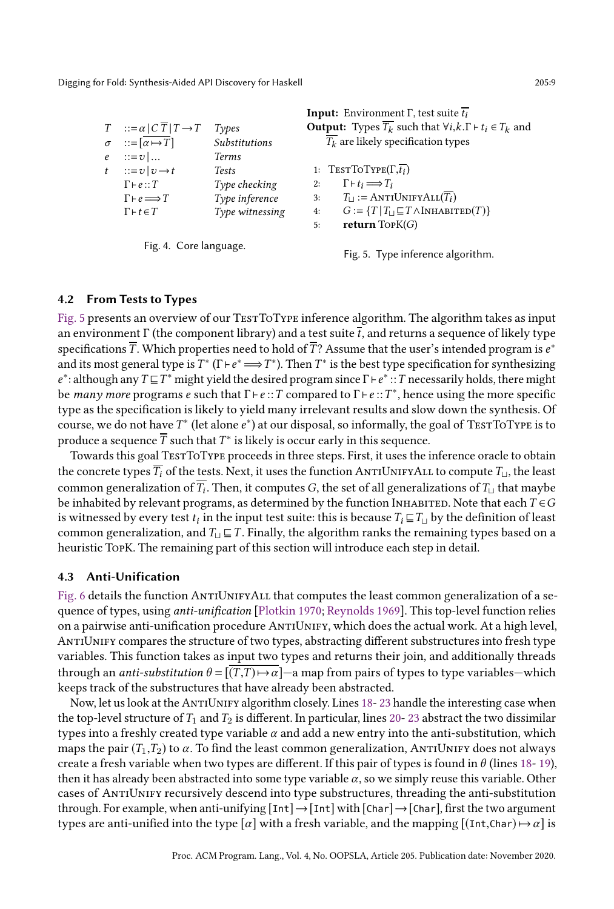<span id="page-8-0"></span>

|                                                    |                      | <b>Input:</b> Environment $\Gamma$ , test suite $\overline{t_i}$                              |
|----------------------------------------------------|----------------------|-----------------------------------------------------------------------------------------------|
| $T : := \alpha   C \overline{T}   T \rightarrow T$ | Types                | <b>Output:</b> Types $\overline{T_k}$ such that $\forall i, k, \Gamma \vdash t_i \in T_k$ and |
| $\sigma$ ::= $\lceil \alpha \mapsto T \rceil$      | <b>Substitutions</b> | $T_k$ are likely specification types                                                          |
| $e$ ::= $v$                                        | <b>Terms</b>         |                                                                                               |
| $t$ ::= $v$   $v \rightarrow t$                    | <b>Tests</b>         | 1: TESTTOTYPE $(\Gamma,\overline{t_i})$                                                       |
| $\Gamma \vdash e :: T$                             | Type checking        | $\Gamma \vdash t_i \Longrightarrow T_i$<br>2:                                                 |
| $\Gamma \vdash e \Longrightarrow T$                | Type inference       | $T_{\square}$ : = ANTIUNIFYALL $(T_i)$<br>3:                                                  |
| $\Gamma \vdash t \in T$                            | Type witnessing      | $G := \{T   T_1 \sqsubseteq T \wedge \text{INHABITED}(T)\}\$<br>4:                            |
|                                                    |                      | return $TopK(G)$<br>5:                                                                        |
|                                                    |                      |                                                                                               |

Fig. 4. Core language.

Fig. 5. Type inference algorithm.

### 4.2 From Tests to Types

[Fig. 5](#page-8-0) presents an overview of our TESTTOTYPE inference algorithm. The algorithm takes as input an environment Γ (the component library) and a test suite  $\bar{t}$ , and returns a sequence of likely type specifications  $\overline{T}.$  Which properties need to hold of  $\overline{T}$ ? Assume that the user's intended program is  $e^*$ and its most general type is  $T^*$  ( $\Gamma \vdash e^* \Longrightarrow T^*$ ). Then  $T^*$  is the best type specification for synthesizing e<sup>\*</sup>: although any  $T \sqsubseteq T^*$  might yield the desired program since  $\Gamma \vdash e^* :: T$  necessarily holds, there might be many more programs e such that  $\Gamma \vdash e::T$  compared to  $\Gamma \vdash e::T^*$ , hence using the more specific type as the specification is likely to yield many irrelevant results and slow down the synthesis. Of course, we do not have  $T^*$  (let alone  $e^*$ ) at our disposal, so informally, the goal of TESTTOTYPE is to produce a sequence  $\overline{T}$  such that  $T^*$  is likely is occur early in this sequence.

Towards this goal TestToType proceeds in three steps. First, it uses the inference oracle to obtain the concrete types  $\overline{T_i}$  of the tests. Next, it uses the function ANTIUNIFYALL to compute  $T_{\text{L}}$ , the least common generalization of  $T_i.$  Then, it computes  $G,$  the set of all generalizations of  $T_\sqcup$  that maybe be inhabited by relevant programs, as determined by the function INHABITED. Note that each  $T \in G$ is witnessed by every test  $t_i$  in the input test suite: this is because  $T_i \sqsubseteq T_\sqcup$  by the definition of least common generalization, and  $T_{\text{U}} \sqsubseteq T$ . Finally, the algorithm ranks the remaining types based on a heuristic TopK. The remaining part of this section will introduce each step in detail.

### 4.3 Anti-Unification

[Fig. 6](#page-9-0) details the function ANTIUNIFYALL that computes the least common generalization of a sequence of types, using *anti-unification* [\[Plotkin 1970;](#page-26-10) [Reynolds 1969\]](#page-26-11). This top-level function relies on a pairwise anti-unification procedure AntiUnify, which does the actual work. At a high level, AntiUnify compares the structure of two types, abstracting different substructures into fresh type variables. This function takes as input two types and returns their join, and additionally threads through an *anti-substitution*  $\theta = [(T,T) \rightarrow \alpha]$ —a map from pairs of types to type variables—which keeps track of the substructures that have already been abstracted.

Now, let us look at the ANTIUNIFY algorithm closely. Lines [18-](#page-9-0)[23](#page-9-0) handle the interesting case when the top-level structure of  $T_1$  and  $T_2$  is different. In particular, lines [20-](#page-9-0)[23](#page-9-0) abstract the two dissimilar types into a freshly created type variable  $\alpha$  and add a new entry into the anti-substitution, which maps the pair  $(T_1,T_2)$  to  $\alpha$ . To find the least common generalization, ANTIUNIFY does not always create a fresh variable when two types are different. If this pair of types is found in  $\theta$  (lines [18-](#page-9-0) [19\)](#page-9-0), then it has already been abstracted into some type variable  $\alpha$ , so we simply reuse this variable. Other cases of AntiUnify recursively descend into type substructures, threading the anti-substitution through. For example, when anti-unifying  $[Int] \rightarrow [Int]$  with  $[Char] \rightarrow [Char]$ , first the two argument types are anti-unified into the type  $\lceil \alpha \rceil$  with a fresh variable, and the mapping  $[(\text{Int},\text{Char}) \rightarrow \alpha]$  is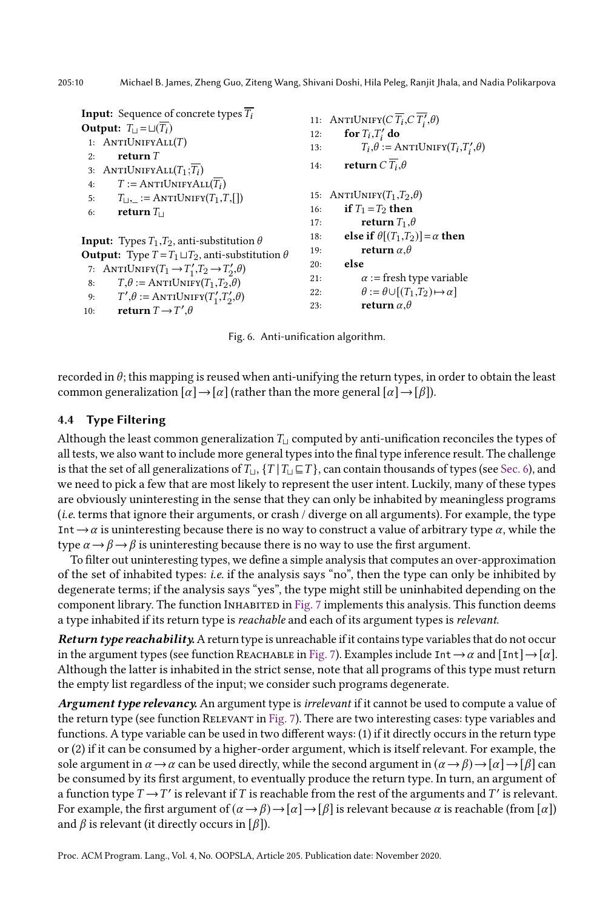<span id="page-9-0"></span>**Input:** Sequence of concrete types  $\overline{T_i}$ Output:  $T_{\perp} = \sqcup(\overline{T_i})$ 1:  $ANTIUNIFYALL(T)$ 2: return  $T$ 3: ANTIUNIFY $ALL(T_1; T_i)$ 4:  $T := \text{ANTIUNIFYALL}(\overline{T_i})$ 5:  $T_{\sqcup,\sqsubseteq} := \text{ANTIUNIFY}(T_1,T,[\,])$ 6: return $T_{\square}$ **Input:** Types  $T_1, T_2$ , anti-substitution  $\theta$ **Output:** Type  $T = T_1 \sqcup T_2$ , anti-substitution  $\theta$ 7: ANTIUNIFY $(T_1 \rightarrow T_1', T_2 \rightarrow T_2', \theta)$ 8:  $T,\theta := \text{ANTIUNIFY}(T_1,T_2,\theta)$ 9:  $T', \theta := \text{ANTIUNIFY}(T'_1, T'_2, \theta)$ 10: return  $T \rightarrow T'$ , $\theta$ 11: ANTIUNIFY( $C \overline{T_i}, C \overline{T'_i}, \theta$ ) 12: for  $T_i$ ,  $T'_i$  do 13:  $T_i, \theta := \text{ANTIUNIFY}(T_i, T'_i, \theta)$ 14: **return**  $C T_i$ ,  $\theta$ 15: ANTIUNIFY $(T_1,T_2,\theta)$ 16: if  $T_1 = T_2$  then 17: **return**  $T_1$ , $\theta$ 18: else if  $\theta$ [(T<sub>1</sub>,T<sub>2</sub>)] =  $\alpha$  then 19: **return**  $\alpha$ ,θ 20: else 21:  $\alpha := \text{fresh type variable}$ 22:  $\theta := \theta \cup [(T_1, T_2) \mapsto \alpha]$ 23: **return**  $\alpha, \theta$ 

Fig. 6. Anti-unification algorithm.

recorded in  $\theta$ ; this mapping is reused when anti-unifying the return types, in order to obtain the least common generalization  $\lceil \alpha \rceil \rightarrow \lceil \alpha \rceil$  (rather than the more general  $\lceil \alpha \rceil \rightarrow \lceil \beta \rceil$ ).

### 4.4 Type Filtering

Although the least common generalization  $T_{\text{□}}$  computed by anti-unification reconciles the types of all tests, we also want to include more general types into the final type inference result. The challenge is that the set of all generalizations of  $T_{\sqcup}$ ,  $\{T | T_{\sqcup} \sqsubseteq T\}$ , can contain thousands of types (see [Sec. 6\)](#page-14-1), and we need to pick a few that are most likely to represent the user intent. Luckily, many of these types are obviously uninteresting in the sense that they can only be inhabited by meaningless programs (i.e. terms that ignore their arguments, or crash / diverge on all arguments). For example, the type Int  $\rightarrow \alpha$  is uninteresting because there is no way to construct a value of arbitrary type  $\alpha$ , while the type  $\alpha \rightarrow \beta \rightarrow \beta$  is uninteresting because there is no way to use the first argument.

To filter out uninteresting types, we define a simple analysis that computes an over-approximation of the set of inhabited types: *i.e.* if the analysis says "no", then the type can only be inhibited by degenerate terms; if the analysis says "yes", the type might still be uninhabited depending on the component library. The function Inhabited in [Fig. 7](#page-10-1) implements this analysis. This function deems a type inhabited if its return type is reachable and each of its argument types is relevant.

Return type reachability. A return type is unreachable if it contains type variables that do not occur in the argument types (see function REACHABLE in [Fig. 7\)](#page-10-1). Examples include Int  $\rightarrow \alpha$  and  $[Int] \rightarrow [\alpha]$ . Although the latter is inhabited in the strict sense, note that all programs of this type must return the empty list regardless of the input; we consider such programs degenerate.

Argument type relevancy. An argument type is *irrelevant* if it cannot be used to compute a value of the return type (see function Relevant in [Fig. 7\)](#page-10-1). There are two interesting cases: type variables and functions. A type variable can be used in two different ways: (1) if it directly occurs in the return type or (2) if it can be consumed by a higher-order argument, which is itself relevant. For example, the sole argument in  $\alpha \to \alpha$  can be used directly, while the second argument in  $(\alpha \to \beta) \to [\alpha] \to [\beta]$  can be consumed by its first argument, to eventually produce the return type. In turn, an argument of a function type  $T \rightarrow T'$  is relevant if T is reachable from the rest of the arguments and T' is relevant. For example, the first argument of  $(\alpha \rightarrow \beta) \rightarrow [\alpha] \rightarrow [\beta]$  is relevant because  $\alpha$  is reachable (from  $[\alpha]$ ) and  $\beta$  is relevant (it directly occurs in [ $\beta$ ]).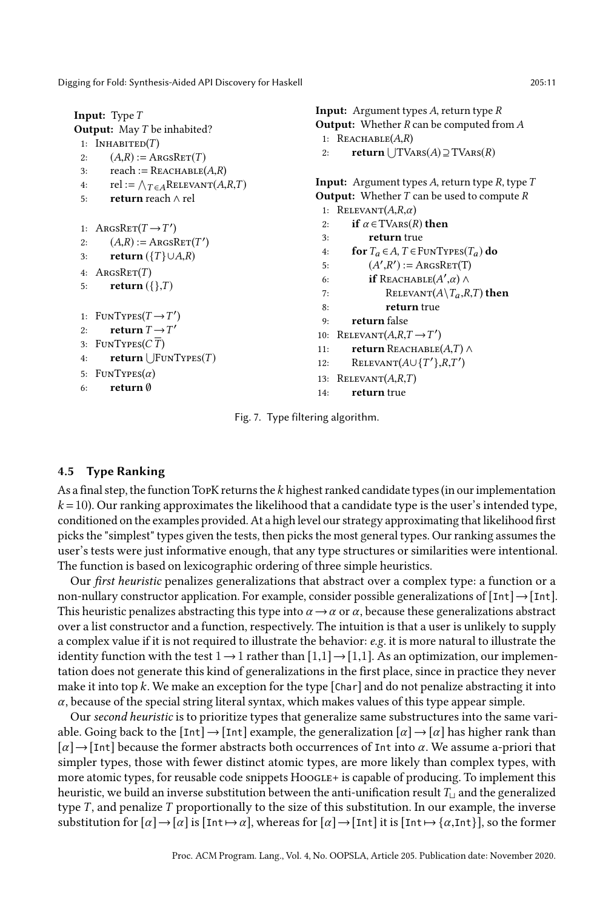<span id="page-10-1"></span>

| 2:<br>3:<br>4:<br>5:                                     | <b>Input:</b> Type $T$<br><b>Output:</b> May T be inhabited?<br>1: INHABITED $(T)$<br>$(A,R) := \text{ArgsRET}(T)$<br>reach := $REACHABLE(A, R)$<br>rel := $\bigwedge_{T \in A}$ RELEVANT $(A, R, T)$<br><b>return</b> reach $\wedge$ rel                                             | <b>Input:</b> Argument types $A$ , return type $R$<br><b>Output:</b> Whether $R$ can be computed from $A$<br>1: $REACHABLE(A,R)$<br>return $\cup$ TVARS(A) $\supseteq$ TVARS(R)<br>2:<br><b>Input:</b> Argument types A, return type R, type $T$<br><b>Output:</b> Whether $T$ can be used to compute $R$<br>1: RELEVANT $(A, R, \alpha)$                                                                                                                                           |  |  |  |
|----------------------------------------------------------|---------------------------------------------------------------------------------------------------------------------------------------------------------------------------------------------------------------------------------------------------------------------------------------|-------------------------------------------------------------------------------------------------------------------------------------------------------------------------------------------------------------------------------------------------------------------------------------------------------------------------------------------------------------------------------------------------------------------------------------------------------------------------------------|--|--|--|
| 2:<br>3:<br>4:<br>5:<br>1:<br>2:<br>3:<br>4:<br>5:<br>6: | 1: ARGSRET $(T \rightarrow T')$<br>$(A,R) := \text{ArgSET}(T')$<br>return $({T} \cup A, R)$<br>$\text{ArgSET}(T)$<br>return $(\{\},T)$<br>$FUNTypes(T\rightarrow T')$<br>return $T \rightarrow T'$<br>FUNTypes(CT)<br>return $\vert$ FUNTYPES $(T)$<br>$FUNTypes(\alpha)$<br>return 0 | if $\alpha \in \text{TVARS}(R)$ then<br>2:<br>return true<br>3:<br>for $T_a \in A$ , $T \in$ FUNTYPES( $T_a$ ) do<br>4:<br>$(A', R') := \text{ArgsRET}(T)$<br>5:<br><b>if</b> REACHABLE( $A',\alpha$ ) $\wedge$<br>6:<br>RELEVANT $(A \setminus T_a, R, T)$ then<br>7:<br>return true<br>8:<br>return false<br>9:<br>10: RELEVANT $(A, R, T \rightarrow T')$<br><b>return</b> REACHABLE $(A,T) \wedge$<br>11:<br>RELEVANT $(A \cup \{T'\}, R, T')$<br>12:<br>RELEVANT(A,R,T)<br>13: |  |  |  |
| return true<br>14:<br>Fig. 7. Type filtering algorithm.  |                                                                                                                                                                                                                                                                                       |                                                                                                                                                                                                                                                                                                                                                                                                                                                                                     |  |  |  |

### <span id="page-10-0"></span>4.5 Type Ranking

As a final step, the function TopK returns the  $k$  highest ranked candidate types (in our implementation  $k = 10$ ). Our ranking approximates the likelihood that a candidate type is the user's intended type, conditioned on the examples provided. At a high level our strategy approximating that likelihood first picks the "simplest" types given the tests, then picks the most general types. Our ranking assumes the user's tests were just informative enough, that any type structures or similarities were intentional. The function is based on lexicographic ordering of three simple heuristics.

Our first heuristic penalizes generalizations that abstract over a complex type: a function or a non-nullary constructor application. For example, consider possible generalizations of  $[Int] \rightarrow [Int]$ . This heuristic penalizes abstracting this type into  $\alpha \rightarrow \alpha$  or  $\alpha$ , because these generalizations abstract over a list constructor and a function, respectively. The intuition is that a user is unlikely to supply a complex value if it is not required to illustrate the behavior: e.g. it is more natural to illustrate the identity function with the test  $1 \rightarrow 1$  rather than  $[1,1] \rightarrow [1,1]$ . As an optimization, our implementation does not generate this kind of generalizations in the first place, since in practice they never make it into top k. We make an exception for the type  $[Char]$  and do not penalize abstracting it into  $\alpha$ , because of the special string literal syntax, which makes values of this type appear simple.

Our second heuristic is to prioritize types that generalize same substructures into the same variable. Going back to the  $\lceil \text{Int} \rceil \rightarrow \lceil \text{Int} \rceil$  example, the generalization  $\lceil \alpha \rceil \rightarrow \lceil \alpha \rceil$  has higher rank than  $\lceil \alpha \rceil \rightarrow$  [Int] because the former abstracts both occurrences of Int into  $\alpha$ . We assume a-priori that simpler types, those with fewer distinct atomic types, are more likely than complex types, with more atomic types, for reusable code snippets HoogLE+ is capable of producing. To implement this heuristic, we build an inverse substitution between the anti-unification result  $T_{\text{L}}$  and the generalized type  $T$ , and penalize  $T$  proportionally to the size of this substitution. In our example, the inverse substitution for  $[\alpha] \rightarrow [\alpha]$  is  $[\text{Int} \mapsto \alpha]$ , whereas for  $[\alpha] \rightarrow [\text{Int}]$  it is  $[\text{Int} \mapsto {\alpha, \text{Int}}]$ , so the former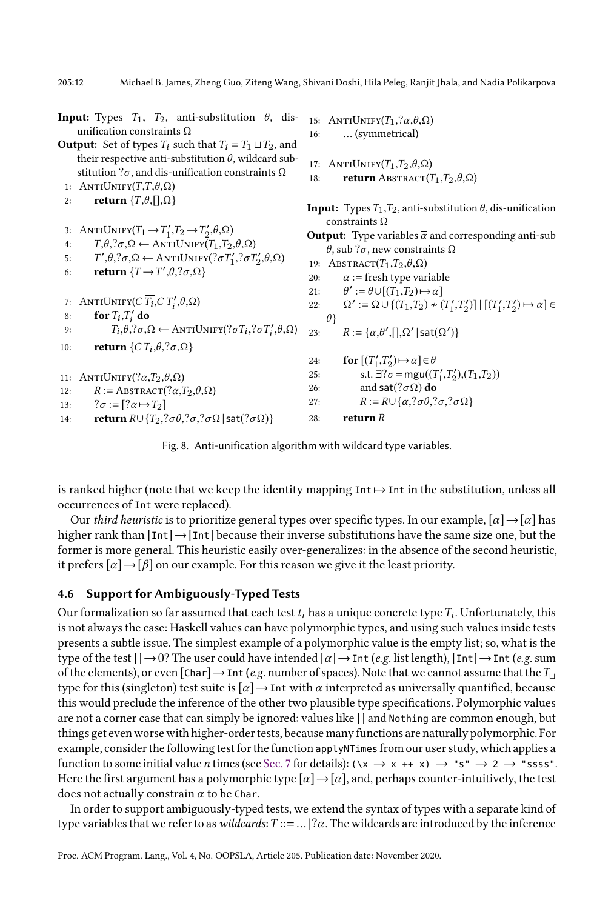<span id="page-11-1"></span>

|     | <b>Input:</b> Types $T_1$ , $T_2$ , anti-substitution $\theta$ , dis-<br>unification constraints $\Omega$                     | 16:      | 15: ANTIUNIFY $(T_1, ?\alpha, \theta, \Omega)$<br>(symmetrical)                                       |
|-----|-------------------------------------------------------------------------------------------------------------------------------|----------|-------------------------------------------------------------------------------------------------------|
|     | <b>Output:</b> Set of types $\overline{T_i}$ such that $T_i = T_1 \sqcup T_2$ , and                                           |          |                                                                                                       |
|     | their respective anti-substitution $\theta$ , wildcard sub-<br>stitution $2\sigma$ , and dis-unification constraints $\Omega$ |          | 17: ANTIUNIFY $(T_1, T_2, \theta, \Omega)$                                                            |
|     | 1: ANTIUNIFY $(T,T,\theta,\Omega)$                                                                                            | 18:      | <b>return</b> ABSTRACT $(T_1, T_2, \theta, \Omega)$                                                   |
| 2:  | return $\{T,\theta,[\cdot],\Omega\}$                                                                                          |          | <b>Input:</b> Types $T_1, T_2$ , anti-substitution $\theta$ , dis-unification<br>constraints $\Omega$ |
|     | 3: ANTIUNIFY $(T_1 \rightarrow T_1', T_2 \rightarrow T_2', \theta, \Omega)$                                                   |          | <b>Output:</b> Type variables $\overline{\alpha}$ and corresponding anti-sub                          |
| 4:  | $T, \theta, ?\sigma, \Omega \leftarrow \text{ANTIUNIFY}(T_1, T_2, \theta, \Omega)$                                            |          | $\theta$ , sub ? $\sigma$ , new constraints $\Omega$                                                  |
| 5:  | $T', \theta, ?\sigma, \Omega \leftarrow \text{ANTIUNIFY}(? \sigma T_1', ? \sigma T_2', \theta, \Omega)$                       |          | 19: ABSTRACT $(T_1, T_2, \theta, \Omega)$                                                             |
| 6:  | return $\{T \rightarrow T', \theta, ?\sigma, \Omega\}$                                                                        | 20:      | $\alpha$ := fresh type variable                                                                       |
|     |                                                                                                                               |          | 21: $\theta' := \theta \cup [(T_1,T_2) \mapsto \alpha]$                                               |
|     | 7: ANTIUNIFY( $C \overline{T_i}, C \overline{T'_i}, \theta, \Omega$ )                                                         | 22:      | $\Omega' := \Omega \cup \{ (T_1, T_2) \star (T_1', T_2') \}   [(T_1', T_2') \mapsto \alpha] \in$      |
| 8:  | for $T_i$ , $T'_i$ do                                                                                                         | $\theta$ |                                                                                                       |
| 9:  | $T_i, \theta, ?\sigma, \Omega \leftarrow \text{ANTIUNIFY}(? \sigma T_i, ? \sigma T_i', \theta, \Omega)$                       | 23:      | $R := {\alpha, \theta', [\cdot], \Omega'   \mathsf{sat}(\Omega')}$                                    |
| 10: | return $\{C \overline{T_i}, \theta, ?\sigma, \Omega\}$                                                                        |          |                                                                                                       |
|     |                                                                                                                               | 24:      | for $[(T'_1, T'_2) \mapsto \alpha] \in \theta$                                                        |
|     | 11: ANTIUNIFY $(?\alpha, T_2, \theta, \Omega)$                                                                                | 25:      | s.t. $\exists$ ? $\sigma$ = mgu( $(T'_1, T'_2), (T_1, T_2)$ )                                         |
| 12: | $R := \text{ABSTRACT}(? \alpha, T_2, \theta, \Omega)$                                                                         | 26:      | and sat $(?\sigma\Omega)$ do                                                                          |
| 13: | $? \sigma := [? \alpha \mapsto T_2]$                                                                                          | 27:      | $R := R \cup \{\alpha,?\sigma\theta,?\sigma,?\sigma\Omega\}$                                          |
| 14: | return $R \cup \{T_2, ?\sigma\theta, ?\sigma, ?\sigma\Omega \mid \mathsf{sat}(? \sigma \Omega)\}$                             | 28:      | return $R$                                                                                            |
|     |                                                                                                                               |          |                                                                                                       |

Fig. 8. Anti-unification algorithm with wildcard type variables.

is ranked higher (note that we keep the identity mapping  $Int \mapsto Int$  in the substitution, unless all occurrences of Int were replaced).

Our third heuristic is to prioritize general types over specific types. In our example,  $\lceil \alpha \rceil \rightarrow \lceil \alpha \rceil$  has higher rank than  $[Int] \rightarrow [Int]$  because their inverse substitutions have the same size one, but the former is more general. This heuristic easily over-generalizes: in the absence of the second heuristic, it prefers  $\lceil \alpha \rceil \rightarrow \lceil \beta \rceil$  on our example. For this reason we give it the least priority.

### <span id="page-11-0"></span>4.6 Support for Ambiguously-Typed Tests

Our formalization so far assumed that each test  $t_i$  has a unique concrete type  $T_i$ . Unfortunately, this is not always the case: Haskell values can have polymorphic types, and using such values inside tests presents a subtle issue. The simplest example of a polymorphic value is the empty list; so, what is the type of the test  $[] \rightarrow 0$ ? The user could have intended  $[\alpha] \rightarrow \text{Int } (e.g. \text{ list length}), [\text{Int}] \rightarrow \text{Int } (e.g. \text{ sum})$ of the elements), or even  $[Char] \rightarrow Int$  (e.g. number of spaces). Note that we cannot assume that the  $T_{\perp}$ type for this (singleton) test suite is  $\lceil \alpha \rceil \rightarrow$  Int with  $\alpha$  interpreted as universally quantified, because this would preclude the inference of the other two plausible type specifications. Polymorphic values are not a corner case that can simply be ignored: values like [] and Nothing are common enough, but things get even worse with higher-order tests, because many functions are naturally polymorphic. For example, consider the following test for the function applyNTimes from our user study, which applies a function to some initial value n times (see [Sec. 7](#page-17-0) for details):  $(\forall x \rightarrow x + x) \rightarrow "s" \rightarrow 2 \rightarrow "ssss".$ Here the first argument has a polymorphic type  $\lbrack \alpha \rbrack \rightarrow \lbrack \alpha \rbrack$ , and, perhaps counter-intuitively, the test does not actually constrain  $\alpha$  to be Char.

In order to support ambiguously-typed tests, we extend the syntax of types with a separate kind of type variables that we refer to as wildcards:  $T ::= ... | ? \alpha$ . The wildcards are introduced by the inference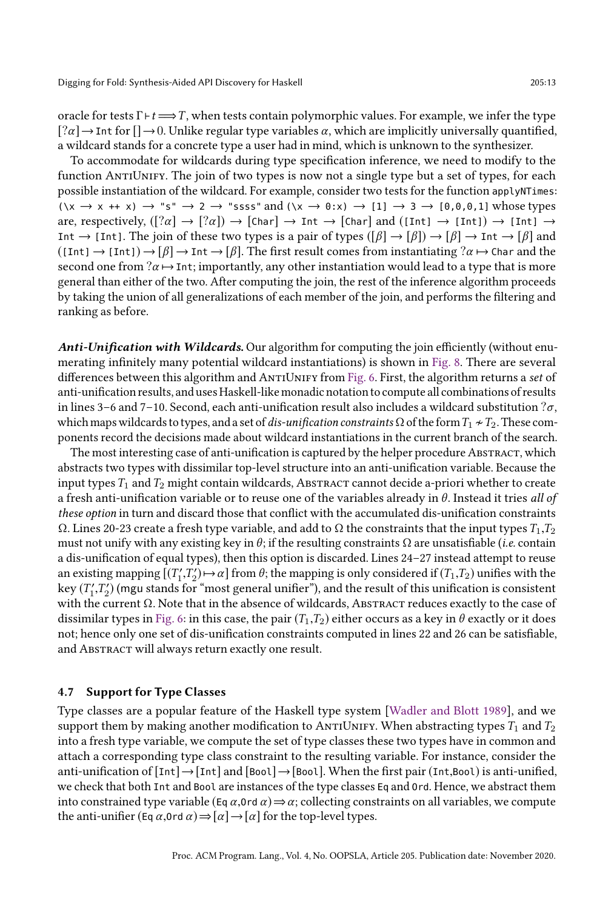oracle for tests  $\Gamma \vdash t \Longrightarrow T$ , when tests contain polymorphic values. For example, we infer the type  $[? \alpha] \rightarrow$  Int for  $[] \rightarrow 0$ . Unlike regular type variables  $\alpha$ , which are implicitly universally quantified, a wildcard stands for a concrete type a user had in mind, which is unknown to the synthesizer.

To accommodate for wildcards during type specification inference, we need to modify to the function ANTIUNIFY. The join of two types is now not a single type but a set of types, for each possible instantiation of the wildcard. For example, consider two tests for the function applyNTimes:  $(\forall x \rightarrow x + x) \rightarrow "s" \rightarrow 2 \rightarrow "ssss"$  and  $(\forall x \rightarrow 0:x) \rightarrow [1] \rightarrow 3 \rightarrow [0,0,0,1]$  whose types are, respectively,  $(\lceil 2\alpha \rceil \rightarrow \lceil 2\alpha \rceil) \rightarrow \lceil \text{Char} \rceil \rightarrow \text{Int} \rightarrow \lceil \text{Char} \rceil$  and  $(\lceil \text{Int} \rceil \rightarrow \lceil \text{Int} \rceil) \rightarrow \lceil \text{Int} \rceil \rightarrow$ Int  $\rightarrow$  [Int]. The join of these two types is a pair of types  $([\beta] \rightarrow [\beta]) \rightarrow [\beta] \rightarrow \text{Int} \rightarrow [\beta]$  and  $(\text{[Int]} \to \text{[Int]}) \to \beta$ ]  $\to \text{Int} \to \beta$ ]. The first result comes from instantiating  $?\alpha \mapsto \text{Char}$  and the second one from  $?a \mapsto$  Int; importantly, any other instantiation would lead to a type that is more general than either of the two. After computing the join, the rest of the inference algorithm proceeds by taking the union of all generalizations of each member of the join, and performs the filtering and ranking as before.

Anti-Unification with Wildcards. Our algorithm for computing the join efficiently (without enumerating infinitely many potential wildcard instantiations) is shown in [Fig. 8.](#page-11-1) There are several differences between this algorithm and ANTIUNIFY from [Fig. 6.](#page-9-0) First, the algorithm returns a set of anti-unification results, and uses Haskell-like monadic notation to compute all combinations of results in lines 3–6 and 7–10. Second, each anti-unification result also includes a wildcard substitution  $\partial \sigma$ , which maps wildcards to types, and a set of dis-unification constraints  $\Omega$  of the form  $T_1 \nrightarrow T_2$ . These components record the decisions made about wildcard instantiations in the current branch of the search.

The most interesting case of anti-unification is captured by the helper procedure Abstract, which abstracts two types with dissimilar top-level structure into an anti-unification variable. Because the input types  $T_1$  and  $T_2$  might contain wildcards, ABSTRACT cannot decide a-priori whether to create a fresh anti-unification variable or to reuse one of the variables already in  $\theta$ . Instead it tries all of these option in turn and discard those that conflict with the accumulated dis-unification constraints  $Ω$ . Lines 20-23 create a fresh type variable, and add to  $Ω$  the constraints that the input types  $T_1, T_2$ must not unify with any existing key in  $\theta$ ; if the resulting constraints  $\Omega$  are unsatisfiable (*i.e.* contain a dis-unification of equal types), then this option is discarded. Lines 24-27 instead attempt to reuse an existing mapping  $[(T'_1, T'_2) \mapsto \alpha]$  from  $\theta$ ; the mapping is only considered if  $(T_1, T_2)$  unifies with the key  $(T_1',T_2')$  (mgu stands for "most general unifier"), and the result of this unification is consistent with the current Ω. Note that in the absence of wildcards, ABSTRACT reduces exactly to the case of dissimilar types in [Fig. 6:](#page-9-0) in this case, the pair  $(T_1,T_2)$  either occurs as a key in  $\theta$  exactly or it does not; hence only one set of dis-unification constraints computed in lines 22 and 26 can be satisfiable, and ABSTRACT will always return exactly one result.

#### <span id="page-12-0"></span>4.7 Support for Type Classes

Type classes are a popular feature of the Haskell type system [\[Wadler and Blott 1989\]](#page-26-12), and we support them by making another modification to ANTIUNIFY. When abstracting types  $T_1$  and  $T_2$ into a fresh type variable, we compute the set of type classes these two types have in common and attach a corresponding type class constraint to the resulting variable. For instance, consider the anti-unification of  $[Int] \rightarrow [Int]$  and  $[Bool] \rightarrow [Bool]$ . When the first pair (Int,Bool) is anti-unified, we check that both Int and Bool are instances of the type classes Eq and Ord. Hence, we abstract them into constrained type variable (Eq  $\alpha$ , Ord  $\alpha$ )  $\Rightarrow \alpha$ ; collecting constraints on all variables, we compute the anti-unifier (Eq  $\alpha$ , Ord  $\alpha$ )  $\Rightarrow$   $[\alpha] \rightarrow [\alpha]$  for the top-level types.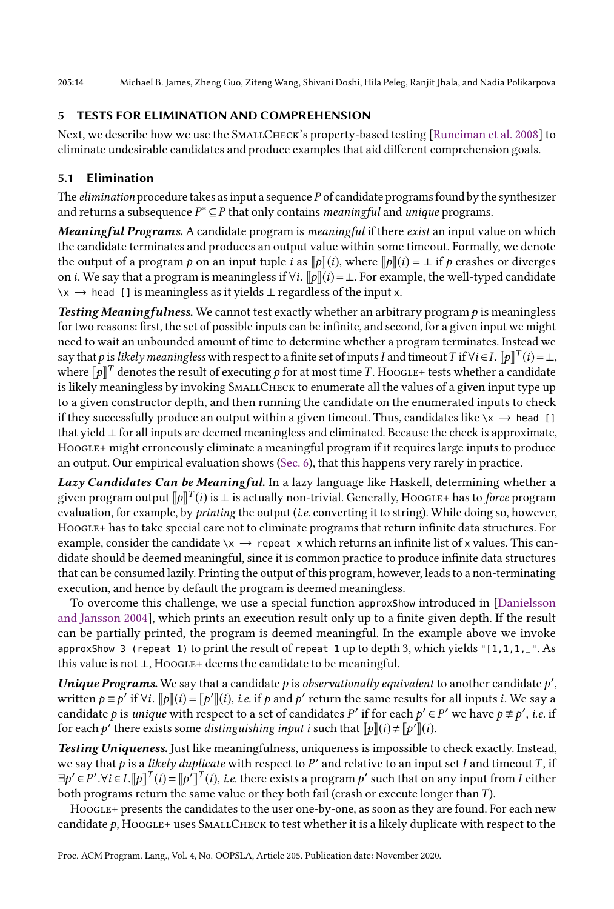205:14 Michael B. James, Zheng Guo, Ziteng Wang, Shivani Doshi, Hila Peleg, Ranjit Jhala, and Nadia Polikarpova

# 5 TESTS FOR ELIMINATION AND COMPREHENSION

Next, we describe how we use the SMALLCHECK's property-based testing [\[Runciman et al.](#page-26-7) [2008\]](#page-26-7) to eliminate undesirable candidates and produce examples that aid different comprehension goals.

# <span id="page-13-0"></span>5.1 Elimination

The *elimination* procedure takes as input a sequence P of candidate programs found by the synthesizer and returns a subsequence  $P^* \subseteq P$  that only contains *meaningful* and *unique* programs.

Meaningful Programs. A candidate program is meaningful if there exist an input value on which the candidate terminates and produces an output value within some timeout. Formally, we denote the output of a program p on an input tuple i as  $\llbracket p \rrbracket(i)$ , where  $\llbracket p \rrbracket(i) = \perp$  if p crashes or diverges on *i*. We say that a program is meaningless if  $\forall i$ .  $\llbracket p \rrbracket(i) = \bot$ . For example, the well-typed candidate \x → head [] is meaningless as it yields  $\perp$  regardless of the input x.

**Testing Meaningfulness.** We cannot test exactly whether an arbitrary program  $p$  is meaningless for two reasons: first, the set of possible inputs can be infinite, and second, for a given input we might need to wait an unbounded amount of time to determine whether a program terminates. Instead we say that  $p$  is *likely meaningless* with respect to a finite set of inputs  $I$  and timeout  $T$  if  $\forall i$   $\in$   $I$ .  $[\![p]\!]^T(i)$   $=$   $\bot$ , where  $\llbracket p \rrbracket^T$  denotes the result of executing  $p$  for at most time  $T$ . Hoogle+ tests whether a candidate is likely meaningless by invoking SMALLCHECK to enumerate all the values of a given input type up to a given constructor depth, and then running the candidate on the enumerated inputs to check if they successfully produce an output within a given timeout. Thus, candidates like  $\chi \rightarrow$  head [] that yield ⊥ for all inputs are deemed meaningless and eliminated. Because the check is approximate, HoogLE+ might erroneously eliminate a meaningful program if it requires large inputs to produce an output. Our empirical evaluation shows [\(Sec. 6\)](#page-14-1), that this happens very rarely in practice.

Lazy Candidates Can be Meaningful. In a lazy language like Haskell, determining whether a given program output  $\llbracket p\rrbracket^T(i)$  is  $\bot$  is actually non-trivial. Generally, Hoogle+ has to *force* program evaluation, for example, by printing the output (i.e. converting it to string). While doing so, however, Hoogle+ has to take special care not to eliminate programs that return infinite data structures. For example, consider the candidate  $\chi \rightarrow$  repeat x which returns an infinite list of x values. This candidate should be deemed meaningful, since it is common practice to produce infinite data structures that can be consumed lazily. Printing the output of this program, however, leads to a non-terminating execution, and hence by default the program is deemed meaningless.

To overcome this challenge, we use a special function approxShow introduced in [\[Danielsson](#page-26-9) [and Jansson 2004\]](#page-26-9), which prints an execution result only up to a finite given depth. If the result can be partially printed, the program is deemed meaningful. In the example above we invoke approxShow 3 (repeat 1) to print the result of repeat 1 up to depth 3, which yields "[1,1,1,\_". As this value is not  $\perp$ , Hoogle+ deems the candidate to be meaningful.

Unique Programs. We say that a candidate  $p$  is observationally equivalent to another candidate  $p'$ , written  $p \equiv p'$  if  $\forall i$ .  $[\![p]\!](i) = [\![p']\!](i)$ , i.e. if  $p$  and  $p'$  return the same results for all inputs i. We say a candidate p is unique with respect to a set of candidates P' if for each  $p' \in P'$  we have  $p \not\equiv p'$ , i.e. if for each  $p'$  there exists some distinguishing input i such that  $[\![p]\!](i) \!\neq [\![p']\!](i).$ 

Testing Uniqueness. Just like meaningfulness, uniqueness is impossible to check exactly. Instead, we say that  $p$  is a *likely duplicate* with respect to  $P'$  and relative to an input set  $I$  and timeout  $T$ , if  $\exists p' \in P'. \forall i \in I.$   $[p]^{T}(i) = [p']^{T}(i),$  i.e. there exists a program p' such that on any input from I either both programs return the same value or they both fail (crash or execute longer than T).

Hoogle+ presents the candidates to the user one-by-one, as soon as they are found. For each new candidate  $p$ , HOOGLE+ uses SMALLCHECK to test whether it is a likely duplicate with respect to the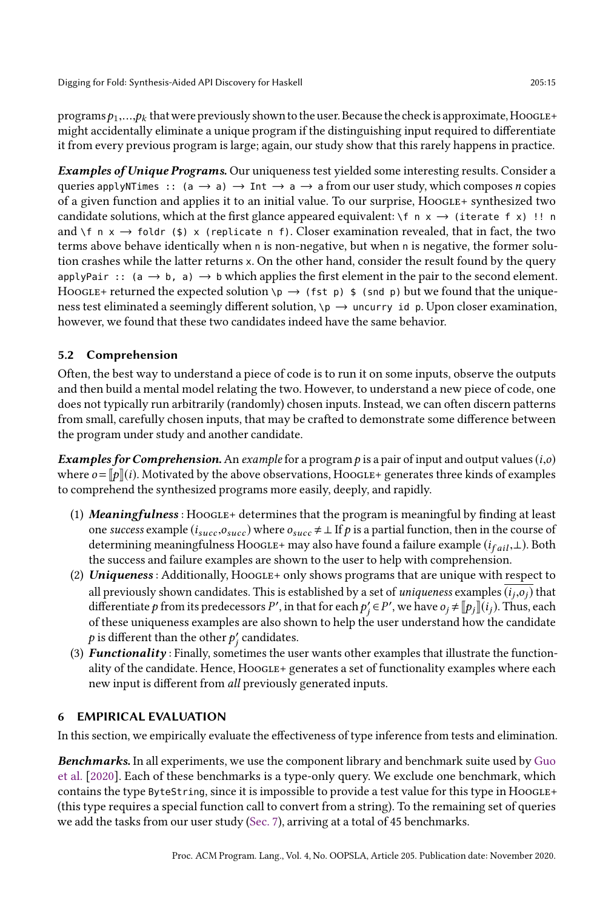programs  $p_1,...,p_k$  that were previously shown to the user. Because the check is approximate, Hoogle+ might accidentally eliminate a unique program if the distinguishing input required to differentiate it from every previous program is large; again, our study show that this rarely happens in practice.

**Examples of Unique Programs.** Our uniqueness test yielded some interesting results. Consider a queries applyNTimes :: (a  $\rightarrow$  a)  $\rightarrow$  Int  $\rightarrow$  a  $\rightarrow$  a from our user study, which composes *n* copies of a given function and applies it to an initial value. To our surprise, Hoogle+ synthesized two candidate solutions, which at the first glance appeared equivalent:  $\forall f \land x \rightarrow$  (iterate f x) !! n and \f n  $x \rightarrow$  foldr (\$) x (replicate n f). Closer examination revealed, that in fact, the two terms above behave identically when n is non-negative, but when n is negative, the former solution crashes while the latter returns x. On the other hand, consider the result found by the query applyPair :: (a  $\rightarrow$  b, a)  $\rightarrow$  b which applies the first element in the pair to the second element. Hoogle+ returned the expected solution  $\pi p \rightarrow (\pi \pi p) \$  (snd p) but we found that the uniqueness test eliminated a seemingly different solution,  $\mathcal{p} \to \mathcal{q}$  uncurry id p. Upon closer examination, however, we found that these two candidates indeed have the same behavior.

### <span id="page-14-0"></span>5.2 Comprehension

Often, the best way to understand a piece of code is to run it on some inputs, observe the outputs and then build a mental model relating the two. However, to understand a new piece of code, one does not typically run arbitrarily (randomly) chosen inputs. Instead, we can often discern patterns from small, carefully chosen inputs, that may be crafted to demonstrate some difference between the program under study and another candidate.

**Examples for Comprehension.** An example for a program p is a pair of input and output values  $(i, o)$ where  $o = \llbracket p \rrbracket(i)$ . Motivated by the above observations, Hoogle+ generates three kinds of examples to comprehend the synthesized programs more easily, deeply, and rapidly.

- (1) **Meaningfulness** : HOOGLE+ determines that the program is meaningful by finding at least one success example ( $i_{succ}$ , $o_{succ}$ ) where  $o_{succ} \neq \perp$  If p is a partial function, then in the course of determining meaningfulness Hoogle+ may also have found a failure example  $(i_{fail},\perp)$ . Both the success and failure examples are shown to the user to help with comprehension.
- (2) Uniqueness: Additionally, Hoogletherm blows programs that are unique with respect to all previously shown candidates. This is established by a set of *uniqueness* examples  $\left(i_j,o_j\right)$  that differentiate  $p$  from its predecessors  $P'$ , in that for each  $p'_j \in P'$ , we have  $o_j \neq [p_j] (i_j)$ . Thus, each of these uniqueness examples are also shown to help the user understand how the candidate  $p$  is different than the other  $p'_j$  candidates.
- (3) **Functionality**: Finally, sometimes the user wants other examples that illustrate the functionality of the candidate. Hence, Hoogle+ generates a set of functionality examples where each new input is different from all previously generated inputs.

### <span id="page-14-1"></span>6 EMPIRICAL EVALUATION

In this section, we empirically evaluate the effectiveness of type inference from tests and elimination.

Benchmarks. In all experiments, we use the component library and benchmark suite used by [Guo](#page-26-3) [et al.](#page-26-3) [\[2020\]](#page-26-3). Each of these benchmarks is a type-only query. We exclude one benchmark, which contains the type ByteString, since it is impossible to provide a test value for this type in HooGLE+ (this type requires a special function call to convert from a string). To the remaining set of queries we add the tasks from our user study [\(Sec. 7\)](#page-17-0), arriving at a total of 45 benchmarks.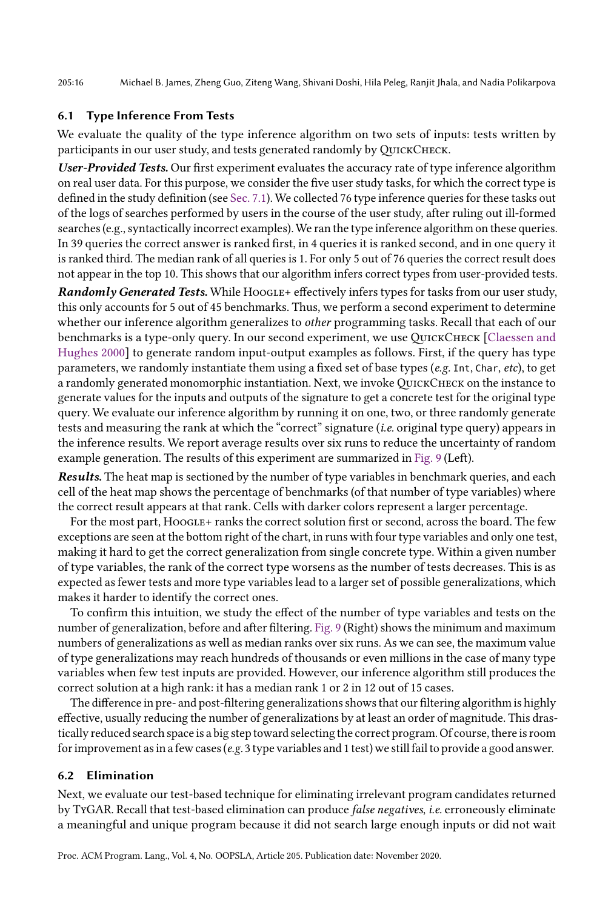205:16 Michael B. James, Zheng Guo, Ziteng Wang, Shivani Doshi, Hila Peleg, Ranjit Jhala, and Nadia Polikarpova

### <span id="page-15-0"></span>6.1 Type Inference From Tests

We evaluate the quality of the type inference algorithm on two sets of inputs: tests written by participants in our user study, and tests generated randomly by QUICKCHECK.

User-Provided Tests. Our first experiment evaluates the accuracy rate of type inference algorithm on real user data. For this purpose, we consider the five user study tasks, for which the correct type is defined in the study definition (see [Sec. 7.1\)](#page-18-0). We collected 76 type inference queries for these tasks out of the logs of searches performed by users in the course of the user study, after ruling out ill-formed searches (e.g., syntactically incorrect examples). We ran the type inference algorithm on these queries. In 39 queries the correct answer is ranked first, in 4 queries it is ranked second, and in one query it is ranked third. The median rank of all queries is 1. For only 5 out of 76 queries the correct result does not appear in the top 10. This shows that our algorithm infers correct types from user-provided tests.

Randomly Generated Tests. While Hoogle+ effectively infers types for tasks from our user study, this only accounts for 5 out of 45 benchmarks. Thus, we perform a second experiment to determine whether our inference algorithm generalizes to *other* programming tasks. Recall that each of our benchmarks is a type-only query. In our second experiment, we use QUICKCHECK [\[Claessen and](#page-26-6) [Hughes 2000\]](#page-26-6) to generate random input-output examples as follows. First, if the query has type parameters, we randomly instantiate them using a fixed set of base types (e.g. Int, Char, etc), to get a randomly generated monomorphic instantiation. Next, we invokeQuickCheck on the instance to generate values for the inputs and outputs of the signature to get a concrete test for the original type query. We evaluate our inference algorithm by running it on one, two, or three randomly generate tests and measuring the rank at which the "correct" signature (*i.e.* original type query) appears in the inference results. We report average results over six runs to reduce the uncertainty of random example generation. The results of this experiment are summarized in [Fig. 9](#page-16-0) (Left).

Results. The heat map is sectioned by the number of type variables in benchmark queries, and each cell of the heat map shows the percentage of benchmarks (of that number of type variables) where the correct result appears at that rank. Cells with darker colors represent a larger percentage.

For the most part, HOOGLE+ ranks the correct solution first or second, across the board. The few exceptions are seen at the bottom right of the chart, in runs with four type variables and only one test, making it hard to get the correct generalization from single concrete type. Within a given number of type variables, the rank of the correct type worsens as the number of tests decreases. This is as expected as fewer tests and more type variables lead to a larger set of possible generalizations, which makes it harder to identify the correct ones.

To confirm this intuition, we study the effect of the number of type variables and tests on the number of generalization, before and after filtering. [Fig. 9](#page-16-0) (Right) shows the minimum and maximum numbers of generalizations as well as median ranks over six runs. As we can see, the maximum value of type generalizations may reach hundreds of thousands or even millions in the case of many type variables when few test inputs are provided. However, our inference algorithm still produces the correct solution at a high rank: it has a median rank 1 or 2 in 12 out of 15 cases.

The difference in pre- and post-filtering generalizations shows that our filtering algorithm is highly effective, usually reducing the number of generalizations by at least an order of magnitude. This drastically reduced search space is a big step toward selecting the correct program. Of course, there is room for improvement as in a few cases(e.g. 3 type variables and 1 test) we still fail to provide a good answer.

### 6.2 Elimination

Next, we evaluate our test-based technique for eliminating irrelevant program candidates returned by TyGAR. Recall that test-based elimination can produce false negatives, i.e. erroneously eliminate a meaningful and unique program because it did not search large enough inputs or did not wait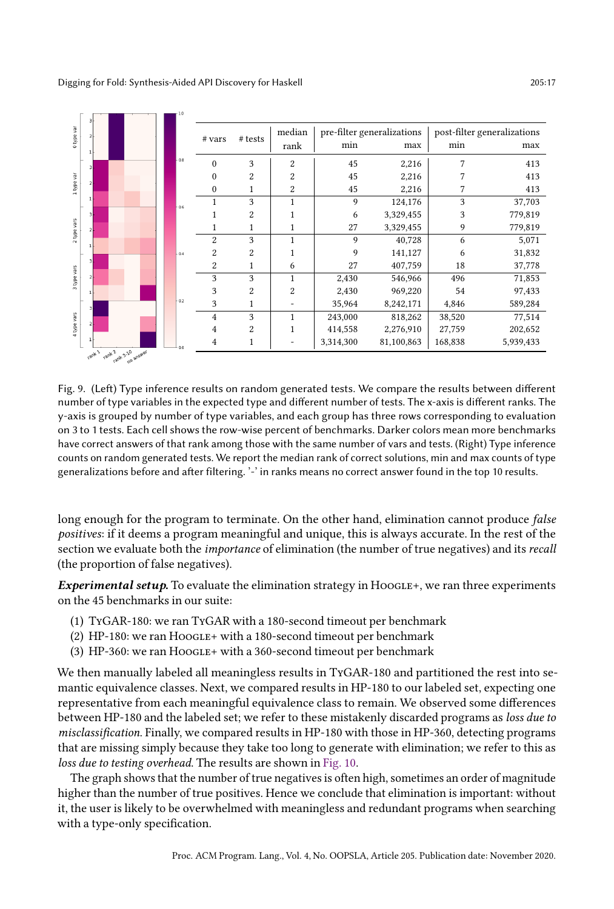<span id="page-16-0"></span>

Fig. 9. (Left) Type inference results on random generated tests. We compare the results between different number of type variables in the expected type and different number of tests. The x-axis is different ranks. The y-axis is grouped by number of type variables, and each group has three rows corresponding to evaluation on 3 to 1 tests. Each cell shows the row-wise percent of benchmarks. Darker colors mean more benchmarks have correct answers of that rank among those with the same number of vars and tests. (Right) Type inference counts on random generated tests. We report the median rank of correct solutions, min and max counts of type generalizations before and after filtering. '-' in ranks means no correct answer found in the top 10 results.

long enough for the program to terminate. On the other hand, elimination cannot produce false positives: if it deems a program meaningful and unique, this is always accurate. In the rest of the section we evaluate both the importance of elimination (the number of true negatives) and its recall (the proportion of false negatives).

Experimental setup. To evaluate the elimination strategy in  $HooGLE+$ , we ran three experiments on the 45 benchmarks in our suite:

- (1) TyGAR-180: we ran TyGAR with a 180-second timeout per benchmark
- (2) HP-180: we ran HOOGLE+ with a 180-second timeout per benchmark
- (3) HP-360: we ran HOOGLE+ with a 360-second timeout per benchmark

We then manually labeled all meaningless results in TyGAR-180 and partitioned the rest into semantic equivalence classes. Next, we compared results in HP-180 to our labeled set, expecting one representative from each meaningful equivalence class to remain. We observed some differences between HP-180 and the labeled set; we refer to these mistakenly discarded programs as loss due to misclassification. Finally, we compared results in HP-180 with those in HP-360, detecting programs that are missing simply because they take too long to generate with elimination; we refer to this as loss due to testing overhead. The results are shown in [Fig. 10.](#page-17-1)

The graph shows that the number of true negatives is often high, sometimes an order of magnitude higher than the number of true positives. Hence we conclude that elimination is important: without it, the user is likely to be overwhelmed with meaningless and redundant programs when searching with a type-only specification.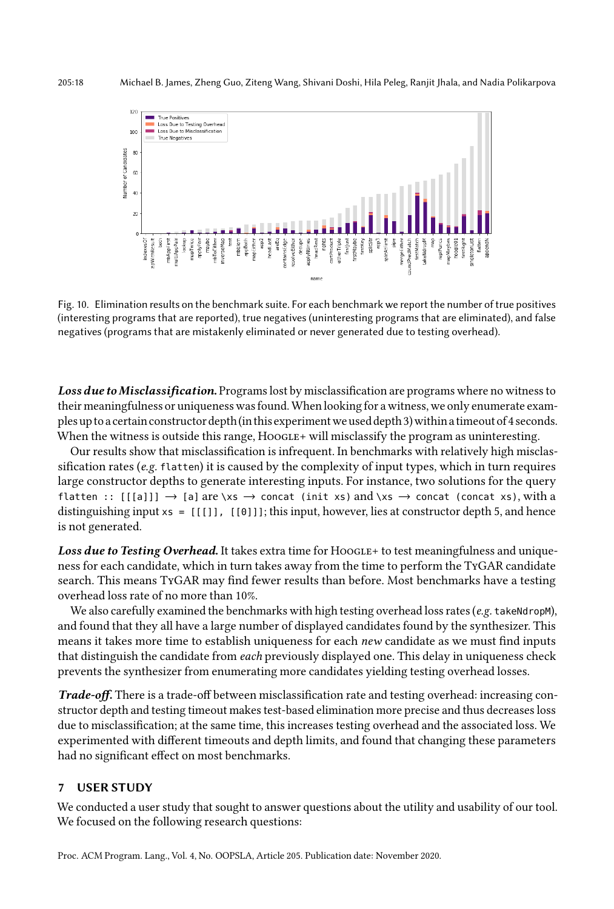<span id="page-17-1"></span>

Fig. 10. Elimination results on the benchmark suite. For each benchmark we report the number of true positives (interesting programs that are reported), true negatives (uninteresting programs that are eliminated), and false negatives (programs that are mistakenly eliminated or never generated due to testing overhead).

Loss due to Misclassification. Programs lost by misclassification are programs where no witness to their meaningfulness or uniqueness was found.When looking for a witness, we only enumerate examples up to a certain constructor depth(in this experimentwe used depth 3)within a timeout of 4 seconds. When the witness is outside this range,  $HooGLE+$  will misclassify the program as uninteresting.

Our results show that misclassification is infrequent. In benchmarks with relatively high misclassification rates (e.g. flatten) it is caused by the complexity of input types, which in turn requires large constructor depths to generate interesting inputs. For instance, two solutions for the query flatten ::  $[[a]] \rightarrow [a]$  are \xs  $\rightarrow$  concat (init xs) and \xs  $\rightarrow$  concat (concat xs), with a distinguishing input  $xs = [[[]], [[0]]]$ ; this input, however, lies at constructor depth 5, and hence is not generated.

Loss due to Testing Overhead. It takes extra time for HOOGLE+ to test meaningfulness and uniqueness for each candidate, which in turn takes away from the time to perform the TyGAR candidate search. This means TyGAR may find fewer results than before. Most benchmarks have a testing overhead loss rate of no more than 10%.

We also carefully examined the benchmarks with high testing overhead loss rates (e.g. takeNdropM), and found that they all have a large number of displayed candidates found by the synthesizer. This means it takes more time to establish uniqueness for each *new* candidate as we must find inputs that distinguish the candidate from each previously displayed one. This delay in uniqueness check prevents the synthesizer from enumerating more candidates yielding testing overhead losses.

Trade-off. There is a trade-off between misclassification rate and testing overhead: increasing constructor depth and testing timeout makes test-based elimination more precise and thus decreases loss due to misclassification; at the same time, this increases testing overhead and the associated loss. We experimented with different timeouts and depth limits, and found that changing these parameters had no significant effect on most benchmarks.

### <span id="page-17-0"></span>7 USER STUDY

We conducted a user study that sought to answer questions about the utility and usability of our tool. We focused on the following research questions: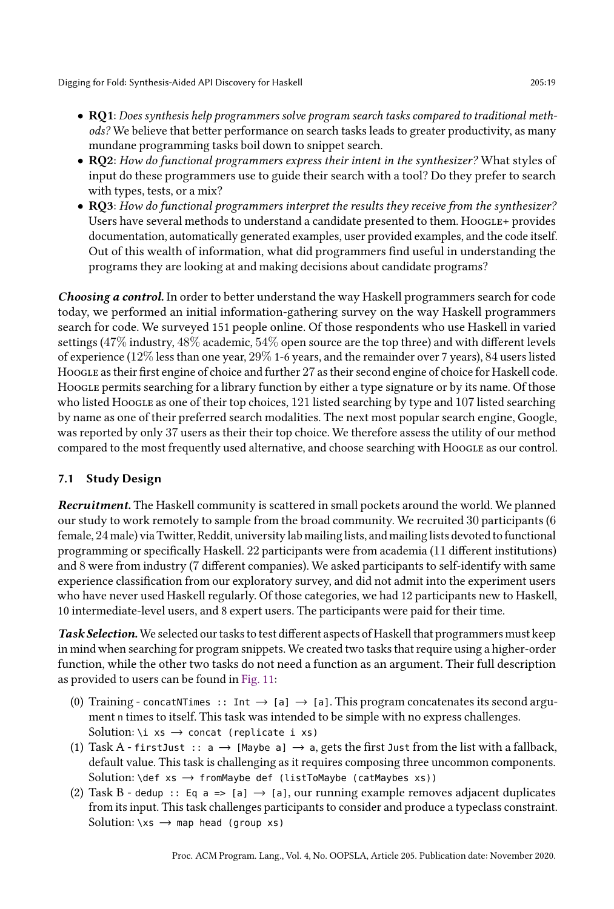- RQ1: Does synthesis help programmers solve program search tasks compared to traditional methods? We believe that better performance on search tasks leads to greater productivity, as many mundane programming tasks boil down to snippet search.
- RQ2: How do functional programmers express their intent in the synthesizer? What styles of input do these programmers use to guide their search with a tool? Do they prefer to search with types, tests, or a mix?
- RQ3: How do functional programmers interpret the results they receive from the synthesizer? Users have several methods to understand a candidate presented to them. Hoogle+ provides documentation, automatically generated examples, user provided examples, and the code itself. Out of this wealth of information, what did programmers find useful in understanding the programs they are looking at and making decisions about candidate programs?

Choosing a control. In order to better understand the way Haskell programmers search for code today, we performed an initial information-gathering survey on the way Haskell programmers search for code. We surveyed 151 people online. Of those respondents who use Haskell in varied settings (47% industry, 48% academic, 54% open source are the top three) and with different levels of experience (12% less than one year, 29% 1-6 years, and the remainder over 7 years), 84 users listed Hoogle as their first engine of choice and further 27 as their second engine of choice for Haskell code. Hoogle permits searching for a library function by either a type signature or by its name. Of those who listed Hoogle as one of their top choices, 121 listed searching by type and 107 listed searching by name as one of their preferred search modalities. The next most popular search engine, Google, was reported by only 37 users as their their top choice. We therefore assess the utility of our method compared to the most frequently used alternative, and choose searching with Hoogle as our control.

# <span id="page-18-0"></span>7.1 Study Design

Recruitment. The Haskell community is scattered in small pockets around the world. We planned our study to work remotely to sample from the broad community. We recruited 30 participants (6 female, 24male) via Twitter, Reddit, university lab mailing lists, and mailing lists devoted to functional programming or specifically Haskell. 22 participants were from academia (11 different institutions) and 8 were from industry (7 different companies). We asked participants to self-identify with same experience classification from our exploratory survey, and did not admit into the experiment users who have never used Haskell regularly. Of those categories, we had 12 participants new to Haskell, 10 intermediate-level users, and 8 expert users. The participants were paid for their time.

Task Selection. We selected our tasks to test different aspects of Haskell that programmers must keep in mind when searching for program snippets. We created two tasks that require using a higher-order function, while the other two tasks do not need a function as an argument. Their full description as provided to users can be found in [Fig. 11:](#page-19-0)

- (0) Training concatNTimes :: Int  $\rightarrow$  [a]  $\rightarrow$  [a]. This program concatenates its second argument n times to itself. This task was intended to be simple with no express challenges. Solution: \i xs  $\rightarrow$  concat (replicate i xs)
- (1) Task A first Just ::  $a \rightarrow$  [Maybe  $a \rightarrow a$ , gets the first Just from the list with a fallback, default value. This task is challenging as it requires composing three uncommon components. Solution: \def xs  $\rightarrow$  fromMaybe def (listToMaybe (catMaybes xs))
- (2) Task B dedup :: Eq a => [a]  $\rightarrow$  [a], our running example removes adjacent duplicates from its input. This task challenges participants to consider and produce a typeclass constraint. Solution:  $\xi x s \rightarrow map$  head (group xs)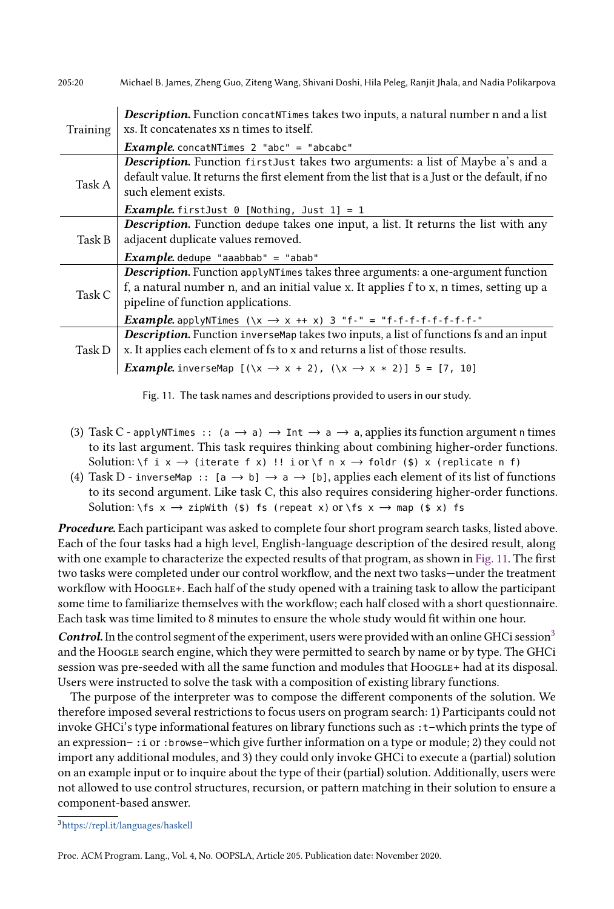<span id="page-19-0"></span>

| 205:20   | Michael B. James, Zheng Guo, Ziteng Wang, Shivani Doshi, Hila Peleg, Ranjit Jhala, and Nadia Polikarpova                                                                                                                                                                                                              |  |
|----------|-----------------------------------------------------------------------------------------------------------------------------------------------------------------------------------------------------------------------------------------------------------------------------------------------------------------------|--|
| Training | <b>Description.</b> Function concatNTimes takes two inputs, a natural number n and a list<br>xs. It concatenates xs n times to itself.                                                                                                                                                                                |  |
|          | <b>Example.</b> concatNTimes $2$ "abc" = "abcabc"                                                                                                                                                                                                                                                                     |  |
| Task A   | Description. Function firstJust takes two arguments: a list of Maybe a's and a<br>default value. It returns the first element from the list that is a Just or the default, if no<br>such element exists.                                                                                                              |  |
|          | <i>Example</i> .firstJust 0 [Nothing, Just 1] = 1                                                                                                                                                                                                                                                                     |  |
| Task B   | <b>Description.</b> Function dedupe takes one input, a list. It returns the list with any<br>adjacent duplicate values removed.<br><i>Example</i> . dedupe "aaabbab" = "abab"                                                                                                                                         |  |
| Task C   | <b>Description.</b> Function applyNTimes takes three arguments: a one-argument function<br>f, a natural number n, and an initial value x. It applies f to x, n times, setting up a<br>pipeline of function applications.<br><i>Example.</i> applyNTimes $(\x \rightarrow x + x)$ 3 "f-" = "f-f-f-f-f-f-f-f-f-f-f-f-f- |  |
| Task D   | Description. Function inverse Map takes two inputs, a list of functions fs and an input<br>x. It applies each element of fs to x and returns a list of those results.<br><i>Example.</i> inverseMap $[(\x \rightarrow x + 2), (\x \rightarrow x * 2)]$ 5 = [7, 10]                                                    |  |



- (3) Task C applyNTimes :: (a  $\rightarrow$  a)  $\rightarrow$  Int  $\rightarrow$  a  $\rightarrow$  a, applies its function argument n times to its last argument. This task requires thinking about combining higher-order functions. Solution: \f i x  $\rightarrow$  (iterate f x) !! i or \f n x  $\rightarrow$  foldr (\$) x (replicate n f)
- (4) Task D inverseMap :: [a  $\rightarrow$  b]  $\rightarrow$  a  $\rightarrow$  [b], applies each element of its list of functions to its second argument. Like task C, this also requires considering higher-order functions. Solution: \fs  $x \rightarrow zipWith ($ \$) fs (repeat x) or \fs  $x \rightarrow map ($ \$ x) fs

Procedure. Each participant was asked to complete four short program search tasks, listed above. Each of the four tasks had a high level, English-language description of the desired result, along with one example to characterize the expected results of that program, as shown in [Fig. 11.](#page-19-0) The first two tasks were completed under our control workflow, and the next two tasks-under the treatment workflow with Hoogle+. Each half of the study opened with a training task to allow the participant some time to familiarize themselves with the workflow; each half closed with a short questionnaire. Each task was time limited to 8 minutes to ensure the whole study would fit within one hour.

Control. In the control segment of the experiment, users were provided with an online GHCi session<sup>[3](#page-19-1)</sup> and the Hoogle search engine, which they were permitted to search by name or by type. The GHCi session was pre-seeded with all the same function and modules that Hoogle+ had at its disposal. Users were instructed to solve the task with a composition of existing library functions.

The purpose of the interpreter was to compose the different components of the solution. We therefore imposed several restrictions to focus users on program search: 1) Participants could not invoke GHCi's type informational features on library functions such as : t-which prints the type of an expression  $-$ : i or :browse-which give further information on a type or module; 2) they could not import any additional modules, and 3) they could only invoke GHCi to execute a (partial) solution on an example input or to inquire about the type of their (partial) solution. Additionally, users were not allowed to use control structures, recursion, or pattern matching in their solution to ensure a component-based answer.

<span id="page-19-1"></span><sup>3</sup><https://repl.it/languages/haskell>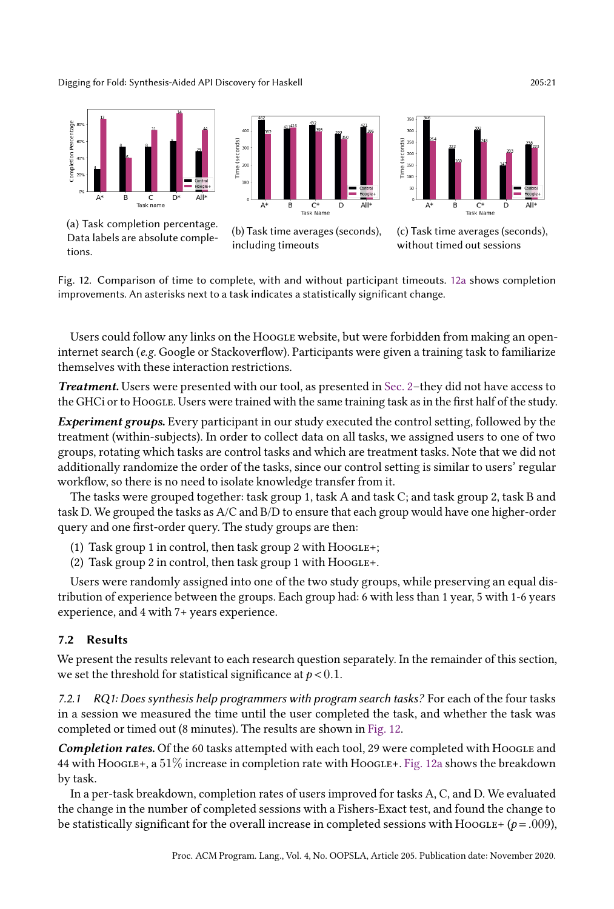<span id="page-20-0"></span>

Fig. 12. Comparison of time to complete, with and without participant timeouts. [12a](#page-20-0) shows completion improvements. An asterisks next to a task indicates a statistically significant change.

Users could follow any links on the HoogLE website, but were forbidden from making an openinternet search (e.g. Google or Stackoverflow). Participants were given a training task to familiarize themselves with these interaction restrictions.

**Treatment.** Users were presented with our tool, as presented in Sec. 2-they did not have access to the GHCi or to Hoogle. Users were trained with the same training task as in the first half of the study.

Experiment groups. Every participant in our study executed the control setting, followed by the treatment (within-subjects). In order to collect data on all tasks, we assigned users to one of two groups, rotating which tasks are control tasks and which are treatment tasks. Note that we did not additionally randomize the order of the tasks, since our control setting is similar to users' regular workflow, so there is no need to isolate knowledge transfer from it.

The tasks were grouped together: task group 1, task A and task C; and task group 2, task B and task D. We grouped the tasks as A/C and B/D to ensure that each group would have one higher-order query and one first-order query. The study groups are then:

- (1) Task group 1 in control, then task group 2 with  $HooGLE+$ ;
- (2) Task group 2 in control, then task group 1 with  $HooGLE+$ .

Users were randomly assigned into one of the two study groups, while preserving an equal distribution of experience between the groups. Each group had: 6 with less than 1 year, 5 with 1-6 years experience, and 4 with 7+ years experience.

## 7.2 Results

We present the results relevant to each research question separately. In the remainder of this section, we set the threshold for statistical significance at  $p < 0.1$ .

*7.2.1 RQ1: Does synthesis help programmers with program search tasks?* For each of the four tasks in a session we measured the time until the user completed the task, and whether the task was completed or timed out (8 minutes). The results are shown in [Fig. 12.](#page-20-0)

Completion rates. Of the 60 tasks attempted with each tool, 29 were completed with Hoogle and 44 with Hoogle+, a  $51\%$  increase in completion rate with Hoogle+. [Fig. 12a](#page-20-0) shows the breakdown by task.

In a per-task breakdown, completion rates of users improved for tasks A, C, and D. We evaluated the change in the number of completed sessions with a Fishers-Exact test, and found the change to be statistically significant for the overall increase in completed sessions with Hoogle+ ( $p = .009$ ),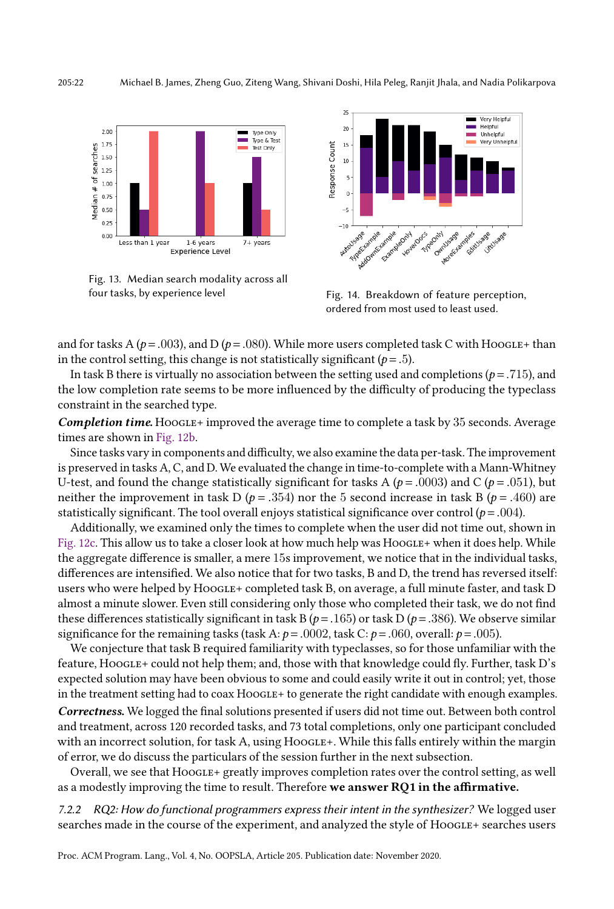<span id="page-21-0"></span>

Fig. 13. Median search modality across all four tasks, by experience level Fig. 14. Breakdown of feature perception,



ordered from most used to least used.

and for tasks A ( $p = .003$ ), and D ( $p = .080$ ). While more users completed task C with HOOGLE+ than in the control setting, this change is not statistically significant ( $p = .5$ ).

In task B there is virtually no association between the setting used and completions ( $p = .715$ ), and the low completion rate seems to be more influenced by the difficulty of producing the typeclass constraint in the searched type.

Completion time. Hoogle+ improved the average time to complete a task by 35 seconds. Average times are shown in [Fig. 12b.](#page-20-0)

Since tasks vary in components and difficulty, we also examine the data per-task. The improvement is preserved in tasks A, C, and D. We evaluated the change in time-to-complete with a Mann-Whitney U-test, and found the change statistically significant for tasks A ( $p = .0003$ ) and C ( $p = .051$ ), but neither the improvement in task D ( $p = .354$ ) nor the 5 second increase in task B ( $p = .460$ ) are statistically significant. The tool overall enjoys statistical significance over control ( $p = .004$ ).

Additionally, we examined only the times to complete when the user did not time out, shown in [Fig. 12c.](#page-20-0) This allow us to take a closer look at how much help was HoogLE+ when it does help. While the aggregate difference is smaller, a mere 15s improvement, we notice that in the individual tasks, differences are intensified. We also notice that for two tasks, B and D, the trend has reversed itself: users who were helped by HOOGLE+ completed task B, on average, a full minute faster, and task D almost a minute slower. Even still considering only those who completed their task, we do not find these differences statistically significant in task B ( $p = .165$ ) or task D ( $p = .386$ ). We observe similar significance for the remaining tasks (task A:  $p = .0002$ , task C:  $p = .060$ , overall:  $p = .005$ ).

We conjecture that task B required familiarity with typeclasses, so for those unfamiliar with the feature, Hoogle+ could not help them; and, those with that knowledge could fly. Further, task D's expected solution may have been obvious to some and could easily write it out in control; yet, those in the treatment setting had to coax HOOGLE+ to generate the right candidate with enough examples.

Correctness. We logged the final solutions presented if users did not time out. Between both control and treatment, across 120 recorded tasks, and 73 total completions, only one participant concluded with an incorrect solution, for task A, using  $HooGLE+$ . While this falls entirely within the margin of error, we do discuss the particulars of the session further in the next subsection.

Overall, we see that  $HooGEE+ \text{greatly improves completion rates over the control setting, as well.}$ as a modestly improving the time to result. Therefore we answer RQ1 in the affirmative.

*7.2.2 RQ2: How do functional programmers express their intent in the synthesizer?* We logged user searches made in the course of the experiment, and analyzed the style of Hoogle+ searches users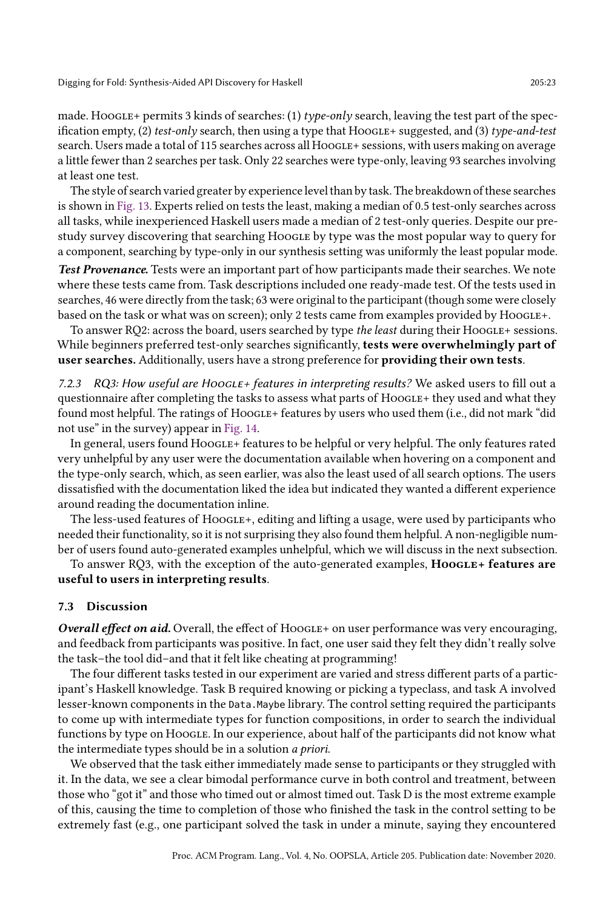made. Hoogle+ permits 3 kinds of searches: (1) type-only search, leaving the test part of the specification empty, (2) test-only search, then using a type that  $HooGLE + suggested$ , and (3) type-and-test search. Users made a total of 115 searches across all HooGLE+ sessions, with users making on average a little fewer than 2 searches per task. Only 22 searches were type-only, leaving 93 searches involving at least one test.

The style of search varied greater by experience level than by task. The breakdown of these searches is shown in [Fig. 13.](#page-21-0) Experts relied on tests the least, making a median of 0.5 test-only searches across all tasks, while inexperienced Haskell users made a median of 2 test-only queries. Despite our prestudy survey discovering that searching Hoogle by type was the most popular way to query for a component, searching by type-only in our synthesis setting was uniformly the least popular mode.

Test Provenance. Tests were an important part of how participants made their searches. We note where these tests came from. Task descriptions included one ready-made test. Of the tests used in searches, 46 were directly from the task; 63 were original to the participant (though some were closely based on the task or what was on screen); only 2 tests came from examples provided by Hoogle+.

To answer RQ2: across the board, users searched by type the least during their HOOGLE+ sessions. While beginners preferred test-only searches significantly, **tests were overwhelmingly part of** user searches. Additionally, users have a strong preference for providing their own tests.

7.2.3 RQ3: How useful are HoocLE+ features in interpreting results? We asked users to fill out a questionnaire after completing the tasks to assess what parts of HoogLE+ they used and what they found most helpful. The ratings of Hoogle+ features by users who used them (i.e., did not mark "did not use" in the survey) appear in [Fig. 14.](#page-21-0)

In general, users found Hoogle+ features to be helpful or very helpful. The only features rated very unhelpful by any user were the documentation available when hovering on a component and the type-only search, which, as seen earlier, was also the least used of all search options. The users dissatisfied with the documentation liked the idea but indicated they wanted a different experience around reading the documentation inline.

The less-used features of Hoogle+, editing and lifting a usage, were used by participants who needed their functionality, so it is not surprising they also found them helpful. A non-negligible number of users found auto-generated examples unhelpful, which we will discuss in the next subsection.

To answer RO3, with the exception of the auto-generated examples, **Hoogle+ features are** useful to users in interpreting results.

#### 7.3 Discussion

Overall effect on aid. Overall, the effect of  $HooGEE+$  on user performance was very encouraging, and feedback from participants was positive. In fact, one user said they felt they didn't really solve the task-the tool did-and that it felt like cheating at programming!

The four different tasks tested in our experiment are varied and stress different parts of a participant's Haskell knowledge. Task B required knowing or picking a typeclass, and task A involved lesser-known components in the Data.Maybe library. The control setting required the participants to come up with intermediate types for function compositions, in order to search the individual functions by type on Hoogle. In our experience, about half of the participants did not know what the intermediate types should be in a solution a priori.

We observed that the task either immediately made sense to participants or they struggled with it. In the data, we see a clear bimodal performance curve in both control and treatment, between those who "got it" and those who timed out or almost timed out. Task D is the most extreme example of this, causing the time to completion of those who finished the task in the control setting to be extremely fast (e.g., one participant solved the task in under a minute, saying they encountered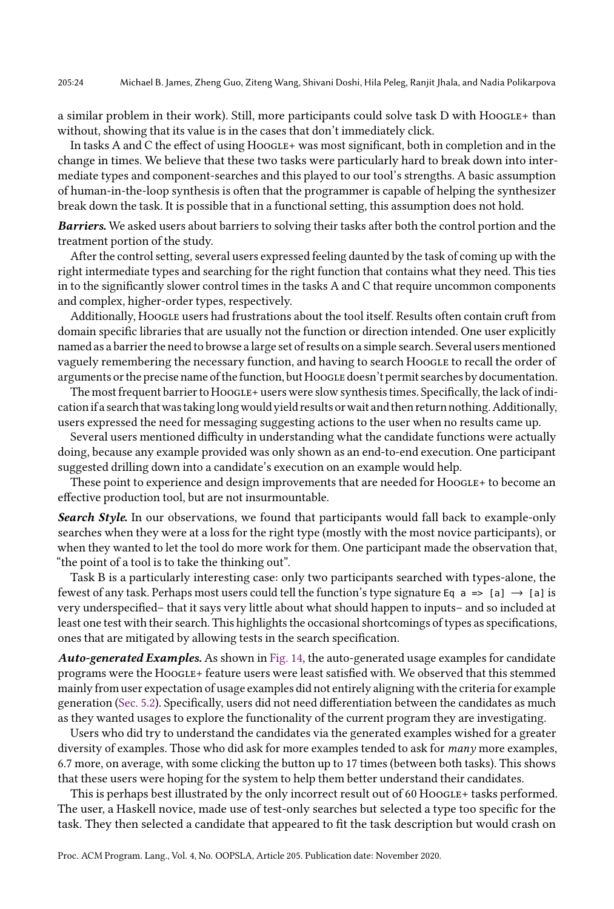a similar problem in their work). Still, more participants could solve task D with Hoogle+ than without, showing that its value is in the cases that don't immediately click.

In tasks A and C the effect of using HOOGLE+ was most significant, both in completion and in the change in times. We believe that these two tasks were particularly hard to break down into intermediate types and component-searches and this played to our tool's strengths. A basic assumption of human-in-the-loop synthesis is often that the programmer is capable of helping the synthesizer break down the task. It is possible that in a functional setting, this assumption does not hold.

Barriers. We asked users about barriers to solving their tasks after both the control portion and the treatment portion of the study.

After the control setting, several users expressed feeling daunted by the task of coming up with the right intermediate types and searching for the right function that contains what they need. This ties in to the significantly slower control times in the tasks A and C that require uncommon components and complex, higher-order types, respectively.

Additionally, Hoogle users had frustrations about the tool itself. Results often contain cruft from domain specific libraries that are usually not the function or direction intended. One user explicitly named as a barrier the need to browse a large set of results on a simple search. Several users mentioned vaguely remembering the necessary function, and having to search Hoogle to recall the order of arguments or the precise name of the function, but HoogLE doesn't permit searches by documentation.

The most frequent barrier to HOOGLE+ users were slow synthesis times. Specifically, the lack of indication if a search that was taking long would yield results or wait and then return nothing. Additionally, users expressed the need for messaging suggesting actions to the user when no results came up.

Several users mentioned difficulty in understanding what the candidate functions were actually doing, because any example provided was only shown as an end-to-end execution. One participant suggested drilling down into a candidate's execution on an example would help.

These point to experience and design improvements that are needed for HooGLE+ to become an effective production tool, but are not insurmountable.

Search Style. In our observations, we found that participants would fall back to example-only searches when they were at a loss for the right type (mostly with the most novice participants), or when they wanted to let the tool do more work for them. One participant made the observation that, "the point of a tool is to take the thinking out".

Task B is a particularly interesting case: only two participants searched with types-alone, the fewest of any task. Perhaps most users could tell the function's type signature Eq  $a \Rightarrow [a] \rightarrow [a]$  is very underspecified-that it says very little about what should happen to inputs- and so included at least one test with their search. This highlights the occasional shortcomings of types as specifications, ones that are mitigated by allowing tests in the search specification.

Auto-generated Examples. As shown in [Fig. 14,](#page-21-0) the auto-generated usage examples for candidate programs were the HOOGLE+ feature users were least satisfied with. We observed that this stemmed mainly from user expectation of usage examples did not entirely aligning with the criteria for example generation [\(Sec. 5.2\)](#page-14-0). Specifically, users did not need differentiation between the candidates as much as they wanted usages to explore the functionality of the current program they are investigating.

Users who did try to understand the candidates via the generated examples wished for a greater diversity of examples. Those who did ask for more examples tended to ask for *many* more examples, 6.7 more, on average, with some clicking the button up to 17 times (between both tasks). This shows that these users were hoping for the system to help them better understand their candidates.

This is perhaps best illustrated by the only incorrect result out of 60 Hoogle+ tasks performed. The user, a Haskell novice, made use of test-only searches but selected a type too specific for the task. They then selected a candidate that appeared to fit the task description but would crash on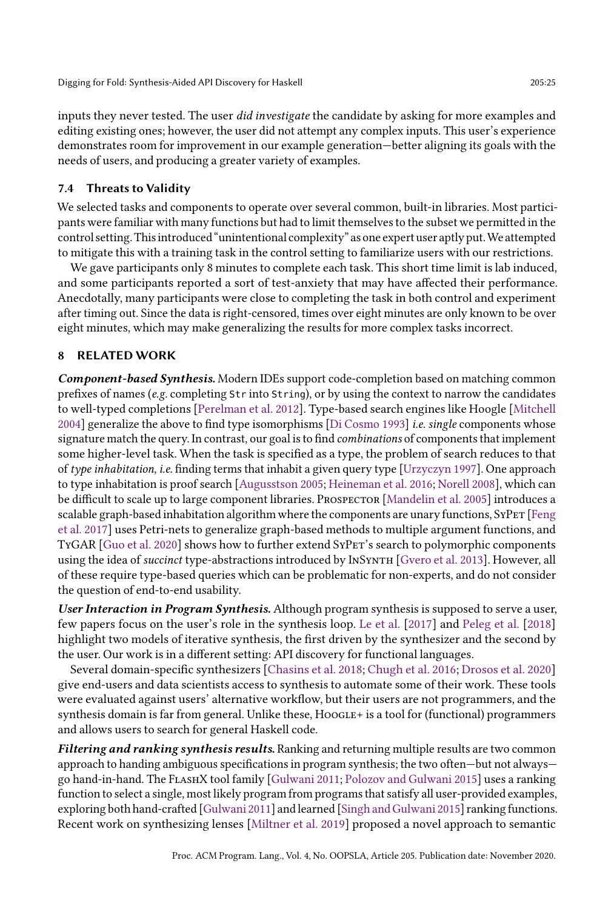inputs they never tested. The user did investigate the candidate by asking for more examples and editing existing ones; however, the user did not attempt any complex inputs. This user's experience demonstrates room for improvement in our example generation—better aligning its goals with the needs of users, and producing a greater variety of examples.

### 7.4 Threats to Validity

We selected tasks and components to operate over several common, built-in libraries. Most participants were familiar with many functions but had to limit themselves to the subset we permitted in the control setting. This introduced "unintentional complexity" as one expert user aptly put. We attempted to mitigate this with a training task in the control setting to familiarize users with our restrictions.

We gave participants only 8 minutes to complete each task. This short time limit is lab induced, and some participants reported a sort of test-anxiety that may have affected their performance. Anecdotally, many participants were close to completing the task in both control and experiment after timing out. Since the data is right-censored, times over eight minutes are only known to be over eight minutes, which may make generalizing the results for more complex tasks incorrect.

### 8 RELATED WORK

Component-based Synthesis. Modern IDEs support code-completion based on matching common prefixes of names (e.g. completing Str into String), or by using the context to narrow the candidates to well-typed completions [\[Perelman et al.](#page-26-13) [2012\]](#page-26-13). Type-based search engines like Hoogle [\[Mitchell](#page-26-1) [2004\]](#page-26-1) generalize the above to find type isomorphisms [\[Di Cosmo 1993\]](#page-26-14) i.e. single components whose signature match the query. In contrast, our goal is to find *combinations* of components that implement some higher-level task. When the task is specified as a type, the problem of search reduces to that of type inhabitation, i.e. finding terms that inhabit a given query type [\[Urzyczyn 1997\]](#page-26-15). One approach to type inhabitation is proof search [\[Augusstson 2005;](#page-25-0) [Heineman et al.](#page-26-16) [2016;](#page-26-16) [Norell 2008\]](#page-26-17), which can be difficult to scale up to large component libraries. PROSPECTOR [\[Mandelin et al.](#page-26-5) [2005\]](#page-26-5) introduces a scalable graph-based inhabitation algorithm where the components are unary functions, SYPET [\[Feng](#page-26-2) [et al.](#page-26-2) [2017\]](#page-26-2) uses Petri-nets to generalize graph-based methods to multiple argument functions, and TyGAR [\[Guo et al.](#page-26-3) [2020\]](#page-26-3) shows how to further extend SyPet's search to polymorphic components using the idea of succinct type-abstractions introduced by InSynth [\[Gvero et al.](#page-26-4) [2013\]](#page-26-4). However, all of these require type-based queries which can be problematic for non-experts, and do not consider the question of end-to-end usability.

User Interaction in Program Synthesis. Although program synthesis is supposed to serve a user, few papers focus on the user's role in the synthesis loop. [Le et al.](#page-26-18) [\[2017\]](#page-26-18) and [Peleg et al.](#page-26-19) [\[2018\]](#page-26-19) highlight two models of iterative synthesis, the first driven by the synthesizer and the second by the user. Our work is in a different setting: API discovery for functional languages.

Several domain-specific synthesizers [\[Chasins et al.](#page-25-1) [2018;](#page-25-1) [Chugh et al.](#page-26-20) [2016;](#page-26-20) [Drosos et al.](#page-26-21) [2020\]](#page-26-21) give end-users and data scientists access to synthesis to automate some of their work. These tools were evaluated against users' alternative workflow, but their users are not programmers, and the synthesis domain is far from general. Unlike these,  $HooGEE+$  is a tool for (functional) programmers and allows users to search for general Haskell code.

Filtering and ranking synthesis results. Ranking and returning multiple results are two common approach to handing ambiguous specifications in program synthesis; the two often—but not always— go hand-in-hand. The FLASHX tool family [\[Gulwani 2011;](#page-26-22) [Polozov and Gulwani 2015\]](#page-26-23) uses a ranking function to select a single, most likely program from programs that satisfy all user-provided examples, exploring both hand-crafted [\[Gulwani 2011\]](#page-26-22) and learned [\[Singh and Gulwani 2015\]](#page-26-24) ranking functions. Recent work on synthesizing lenses [\[Miltner et al.](#page-26-25) [2019\]](#page-26-25) proposed a novel approach to semantic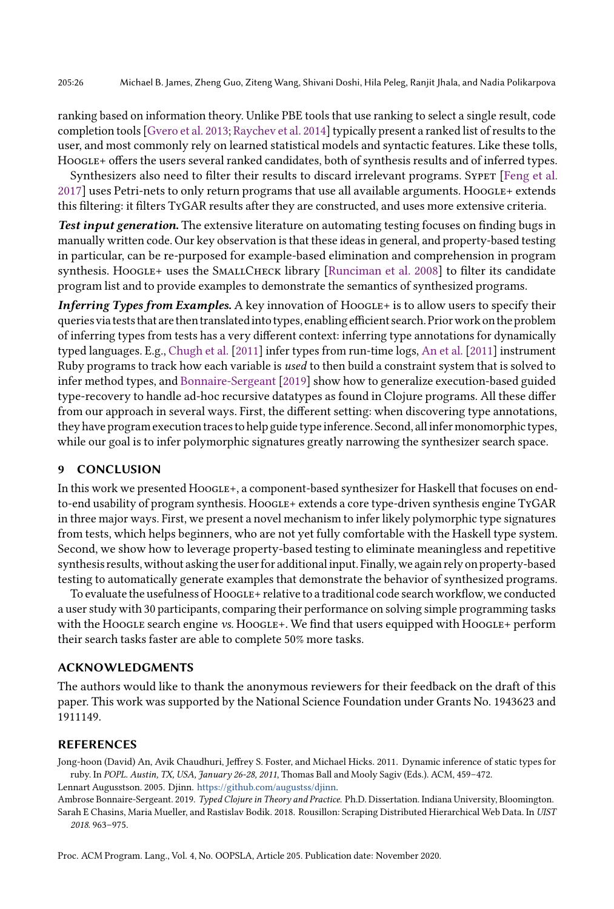ranking based on information theory. Unlike PBE tools that use ranking to select a single result, code completion tools [\[Gvero et al.](#page-26-4) [2013;](#page-26-4) [Raychev et al.](#page-26-26) [2014\]](#page-26-26) typically present a ranked list of results to the user, and most commonly rely on learned statistical models and syntactic features. Like these tolls, HoogLE+ offers the users several ranked candidates, both of synthesis results and of inferred types.

Synthesizers also need to filter their results to discard irrelevant programs. Syper [\[Feng et al.](#page-26-2) [2017\]](#page-26-2) uses Petri-nets to only return programs that use all available arguments. Hoogle+ extends this filtering: it filters TyGAR results after they are constructed, and uses more extensive criteria.

Test input generation. The extensive literature on automating testing focuses on finding bugs in manually written code. Our key observation is that these ideas in general, and property-based testing in particular, can be re-purposed for example-based elimination and comprehension in program synthesis. Hoogle+ uses the SMALLCHECK library [\[Runciman et al.](#page-26-7) [2008\]](#page-26-7) to filter its candidate program list and to provide examples to demonstrate the semantics of synthesized programs.

**Inferring Types from Examples.** A key innovation of  $HooGLE + iS$  to allow users to specify their queries via tests that are then translated into types, enabling efficient search. Prior work on the problem of inferring types from tests has a very different context: inferring type annotations for dynamically typed languages. E.g., [Chugh et al.](#page-26-27) [\[2011\]](#page-26-27) infer types from run-time logs, [An et al.](#page-25-2) [\[2011\]](#page-25-2) instrument Ruby programs to track how each variable is used to then build a constraint system that is solved to infer method types, and [Bonnaire-Sergeant](#page-25-3) [\[2019\]](#page-25-3) show how to generalize execution-based guided type-recovery to handle ad-hoc recursive datatypes as found in Clojure programs. All these differ from our approach in several ways. First, the different setting: when discovering type annotations, they have program execution traces to help guide type inference. Second, all infer monomorphic types, while our goal is to infer polymorphic signatures greatly narrowing the synthesizer search space.

#### 9 CONCLUSION

In this work we presented HOOGLE+, a component-based synthesizer for Haskell that focuses on endto-end usability of program synthesis. HoogLE+ extends a core type-driven synthesis engine TyGAR in three major ways. First, we present a novel mechanism to infer likely polymorphic type signatures from tests, which helps beginners, who are not yet fully comfortable with the Haskell type system. Second, we show how to leverage property-based testing to eliminate meaningless and repetitive synthesis results, without asking the user for additionalinput. Finally, we again rely on property-based testing to automatically generate examples that demonstrate the behavior of synthesized programs.

To evaluate the usefulness of HOOGLE+ relative to a traditional code search workflow, we conducted a user study with 30 participants, comparing their performance on solving simple programming tasks with the Hoogle search engine vs. Hoogle+. We find that users equipped with Hoogle+ perform their search tasks faster are able to complete 50% more tasks.

#### ACKNOWLEDGMENTS

The authors would like to thank the anonymous reviewers for their feedback on the draft of this paper. This work was supported by the National Science Foundation under Grants No. 1943623 and 1911149.

### REFERENCES

<span id="page-25-2"></span>Jong-hoon (David) An, Avik Chaudhuri, Jeffrey S. Foster, and Michael Hicks. 2011. Dynamic inference of static types for ruby. In POPL. Austin, TX, USA, January 26-28, 2011, Thomas Ball and Mooly Sagiv (Eds.). ACM, 459-472. Lennart Augusstson. 2005. Djinn. [https://github.com/augustss/djinn.](https://github.com/augustss/djinn)

<span id="page-25-3"></span><span id="page-25-1"></span><span id="page-25-0"></span>Ambrose Bonnaire-Sergeant. 2019. Typed Clojure in Theory and Practice. Ph.D. Dissertation. Indiana University, Bloomington. Sarah E Chasins, Maria Mueller, and Rastislav Bodik. 2018. Rousillon: Scraping Distributed Hierarchical Web Data. In UIST 2018. 963-975.

Proc. ACM Program. Lang., Vol. 4, No. OOPSLA, Article 205. Publication date: November 2020.